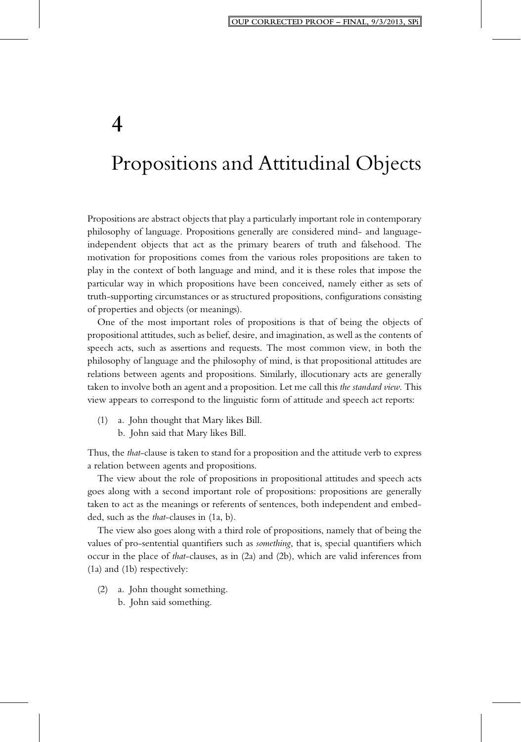# Propositions and Attitudinal Objects

Propositions are abstract objects that play a particularly important role in contemporary philosophy of language. Propositions generally are considered mind- and languageindependent objects that act as the primary bearers of truth and falsehood. The motivation for propositions comes from the various roles propositions are taken to play in the context of both language and mind, and it is these roles that impose the particular way in which propositions have been conceived, namely either as sets of truth-supporting circumstances or as structured propositions, configurations consisting of properties and objects (or meanings).

One of the most important roles of propositions is that of being the objects of propositional attitudes, such as belief, desire, and imagination, as well as the contents of speech acts, such as assertions and requests. The most common view, in both the philosophy of language and the philosophy of mind, is that propositional attitudes are relations between agents and propositions. Similarly, illocutionary acts are generally taken to involve both an agent and a proposition. Let me call this the standard view. This view appears to correspond to the linguistic form of attitude and speech act reports:

- (1) a. John thought that Mary likes Bill.
	- b. John said that Mary likes Bill.

Thus, the that-clause is taken to stand for a proposition and the attitude verb to express a relation between agents and propositions.

The view about the role of propositions in propositional attitudes and speech acts goes along with a second important role of propositions: propositions are generally taken to act as the meanings or referents of sentences, both independent and embedded, such as the that-clauses in (1a, b).

The view also goes along with a third role of propositions, namely that of being the values of pro-sentential quantifiers such as something, that is, special quantifiers which occur in the place of that-clauses, as in (2a) and (2b), which are valid inferences from (1a) and (1b) respectively:

- (2) a. John thought something.
	- b. John said something.

4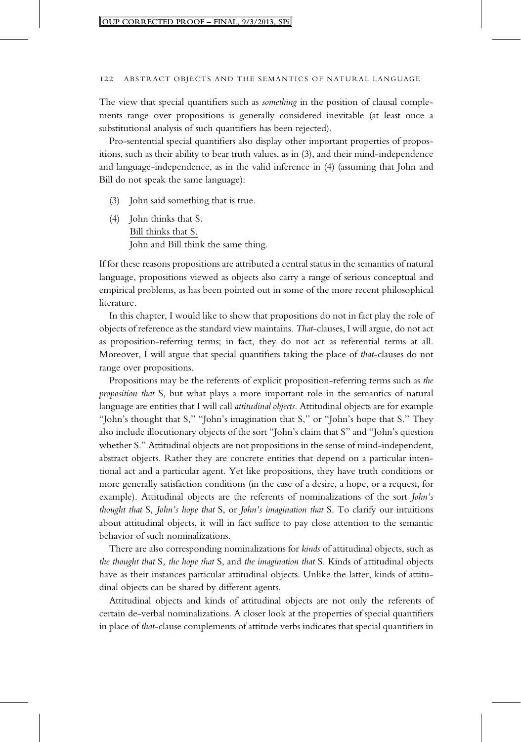The view that special quantifiers such as *something* in the position of clausal complements range over propositions is generally considered inevitable (at least once a substitutional analysis of such quantifiers has been rejected).

Pro-sentential special quantifiers also display other important properties of propositions, such as their ability to bear truth values, as in (3), and their mind-independence and language-independence, as in the valid inference in (4) (assuming that John and Bill do not speak the same language):

- (3) John said something that is true.
- (4) John thinks that S. Bill thinks that S. John and Bill think the same thing.

If for these reasons propositions are attributed a central status in the semantics of natural language, propositions viewed as objects also carry a range of serious conceptual and empirical problems, as has been pointed out in some of the more recent philosophical literature.

In this chapter, I would like to show that propositions do not in fact play the role of objects of reference as the standard view maintains. That-clauses, I will argue, do not act as proposition-referring terms; in fact, they do not act as referential terms at all. Moreover, I will argue that special quantifiers taking the place of that-clauses do not range over propositions.

Propositions may be the referents of explicit proposition-referring terms such as the proposition that S, but what plays a more important role in the semantics of natural language are entities that I will call attitudinal objects. Attitudinal objects are for example "John's thought that S," "John's imagination that S," or "John's hope that S." They also include illocutionary objects of the sort "John's claim that S" and "John's question whether S." Attitudinal objects are not propositions in the sense of mind-independent, abstract objects. Rather they are concrete entities that depend on a particular intentional act and a particular agent. Yet like propositions, they have truth conditions or more generally satisfaction conditions (in the case of a desire, a hope, or a request, for example). Attitudinal objects are the referents of nominalizations of the sort John's thought that S, John's hope that S, or John's imagination that S. To clarify our intuitions about attitudinal objects, it will in fact suffice to pay close attention to the semantic behavior of such nominalizations.

There are also corresponding nominalizations for *kinds* of attitudinal objects, such as the thought that S, the hope that S, and the imagination that S. Kinds of attitudinal objects have as their instances particular attitudinal objects. Unlike the latter, kinds of attitudinal objects can be shared by different agents.

Attitudinal objects and kinds of attitudinal objects are not only the referents of certain de-verbal nominalizations. A closer look at the properties of special quantifiers in place of that-clause complements of attitude verbs indicates that special quantifiers in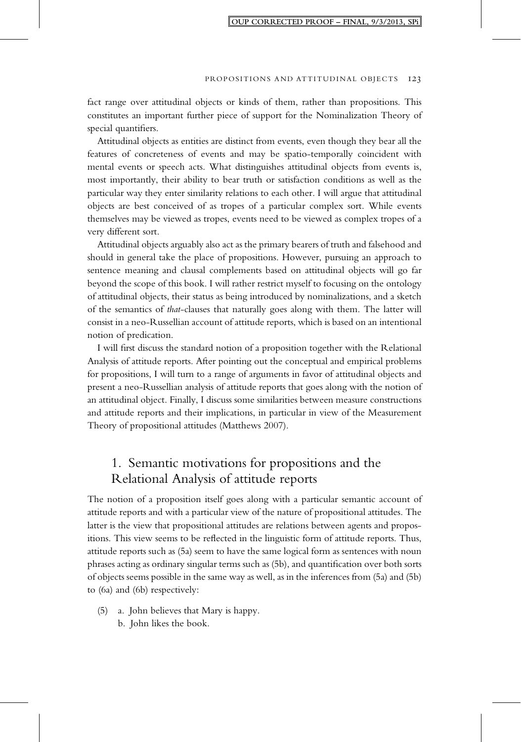fact range over attitudinal objects or kinds of them, rather than propositions. This constitutes an important further piece of support for the Nominalization Theory of special quantifiers.

Attitudinal objects as entities are distinct from events, even though they bear all the features of concreteness of events and may be spatio-temporally coincident with mental events or speech acts. What distinguishes attitudinal objects from events is, most importantly, their ability to bear truth or satisfaction conditions as well as the particular way they enter similarity relations to each other. I will argue that attitudinal objects are best conceived of as tropes of a particular complex sort. While events themselves may be viewed as tropes, events need to be viewed as complex tropes of a very different sort.

Attitudinal objects arguably also act as the primary bearers of truth and falsehood and should in general take the place of propositions. However, pursuing an approach to sentence meaning and clausal complements based on attitudinal objects will go far beyond the scope of this book. I will rather restrict myself to focusing on the ontology of attitudinal objects, their status as being introduced by nominalizations, and a sketch of the semantics of that-clauses that naturally goes along with them. The latter will consist in a neo-Russellian account of attitude reports, which is based on an intentional notion of predication.

I will first discuss the standard notion of a proposition together with the Relational Analysis of attitude reports. After pointing out the conceptual and empirical problems for propositions, I will turn to a range of arguments in favor of attitudinal objects and present a neo-Russellian analysis of attitude reports that goes along with the notion of an attitudinal object. Finally, I discuss some similarities between measure constructions and attitude reports and their implications, in particular in view of the Measurement Theory of propositional attitudes (Matthews 2007).

# 1. Semantic motivations for propositions and the Relational Analysis of attitude reports

The notion of a proposition itself goes along with a particular semantic account of attitude reports and with a particular view of the nature of propositional attitudes. The latter is the view that propositional attitudes are relations between agents and propositions. This view seems to be reflected in the linguistic form of attitude reports. Thus, attitude reports such as (5a) seem to have the same logical form as sentences with noun phrases acting as ordinary singular terms such as (5b), and quantification over both sorts of objects seems possible in the same way as well, as in the inferences from (5a) and (5b) to (6a) and (6b) respectively:

(5) a. John believes that Mary is happy. b. John likes the book.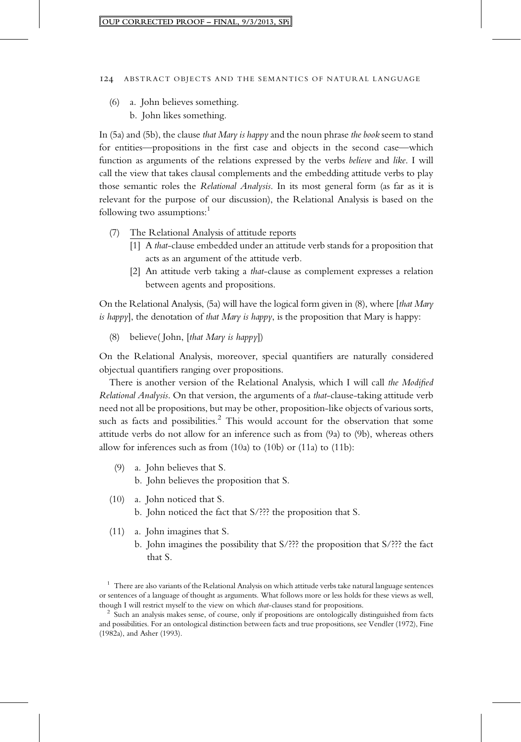- (6) a. John believes something.
	- b. John likes something.

In (5a) and (5b), the clause that Mary is happy and the noun phrase the book seem to stand for entities—propositions in the first case and objects in the second case—which function as arguments of the relations expressed by the verbs believe and like. I will call the view that takes clausal complements and the embedding attitude verbs to play those semantic roles the Relational Analysis. In its most general form (as far as it is relevant for the purpose of our discussion), the Relational Analysis is based on the following two assumptions:<sup>1</sup>

- (7) The Relational Analysis of attitude reports
	- [1] A that-clause embedded under an attitude verb stands for a proposition that acts as an argument of the attitude verb.
	- [2] An attitude verb taking a that-clause as complement expresses a relation between agents and propositions.

On the Relational Analysis, (5a) will have the logical form given in (8), where [that Mary is happy], the denotation of that Mary is happy, is the proposition that Mary is happy:

(8) believe( John, [that Mary is happy])

On the Relational Analysis, moreover, special quantifiers are naturally considered objectual quantifiers ranging over propositions.

There is another version of the Relational Analysis, which I will call the Modified Relational Analysis. On that version, the arguments of a that-clause-taking attitude verb need not all be propositions, but may be other, proposition-like objects of various sorts, such as facts and possibilities. $2$  This would account for the observation that some attitude verbs do not allow for an inference such as from (9a) to (9b), whereas others allow for inferences such as from (10a) to (10b) or (11a) to (11b):

(9) a. John believes that S.

b. John believes the proposition that S.

- (10) a. John noticed that S.
	- b. John noticed the fact that S/??? the proposition that S.
- (11) a. John imagines that S.
	- b. John imagines the possibility that S/??? the proposition that S/??? the fact that S.

 $1$  There are also variants of the Relational Analysis on which attitude verbs take natural language sentences or sentences of a language of thought as arguments. What follows more or less holds for these views as well, though I will restrict myself to the view on which *that*-clauses stand for propositions.<br><sup>2</sup> Such an analysis makes sense, of course, only if propositions are ontologically distinguished from facts

and possibilities. For an ontological distinction between facts and true propositions, see Vendler (1972), Fine (1982a), and Asher (1993).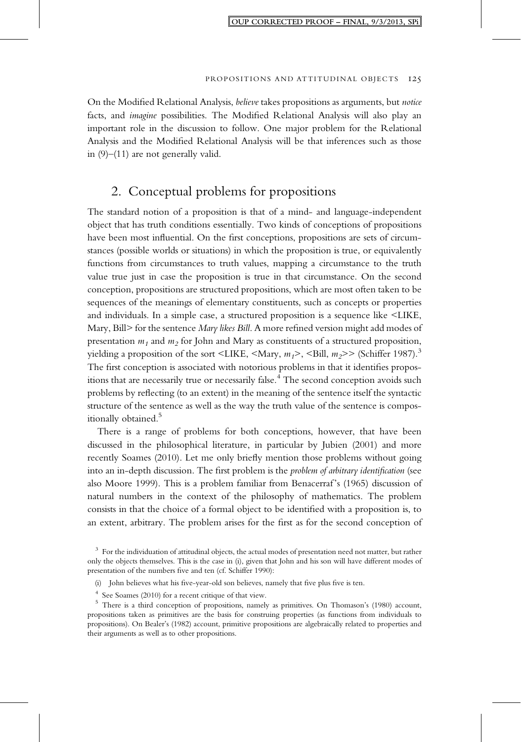On the Modified Relational Analysis, believe takes propositions as arguments, but notice facts, and imagine possibilities. The Modified Relational Analysis will also play an important role in the discussion to follow. One major problem for the Relational Analysis and the Modified Relational Analysis will be that inferences such as those in (9)–(11) are not generally valid.

# 2. Conceptual problems for propositions

The standard notion of a proposition is that of a mind- and language-independent object that has truth conditions essentially. Two kinds of conceptions of propositions have been most influential. On the first conceptions, propositions are sets of circumstances (possible worlds or situations) in which the proposition is true, or equivalently functions from circumstances to truth values, mapping a circumstance to the truth value true just in case the proposition is true in that circumstance. On the second conception, propositions are structured propositions, which are most often taken to be sequences of the meanings of elementary constituents, such as concepts or properties and individuals. In a simple case, a structured proposition is a sequence like <LIKE, Mary, Bill> for the sentence *Mary likes Bill*. A more refined version might add modes of presentation  $m_1$  and  $m_2$  for John and Mary as constituents of a structured proposition, yielding a proposition of the sort <LIKE, <Mary,  $m_1$ >, <Bill,  $m_2$ >> (Schiffer 1987).<sup>3</sup> The first conception is associated with notorious problems in that it identifies propositions that are necessarily true or necessarily false.<sup>4</sup> The second conception avoids such problems by reflecting (to an extent) in the meaning of the sentence itself the syntactic structure of the sentence as well as the way the truth value of the sentence is compositionally obtained.<sup>5</sup>

There is a range of problems for both conceptions, however, that have been discussed in the philosophical literature, in particular by Jubien (2001) and more recently Soames (2010). Let me only briefly mention those problems without going into an in-depth discussion. The first problem is the problem of arbitrary identification (see also Moore 1999). This is a problem familiar from Benacerraf 's (1965) discussion of natural numbers in the context of the philosophy of mathematics. The problem consists in that the choice of a formal object to be identified with a proposition is, to an extent, arbitrary. The problem arises for the first as for the second conception of

 $3$  For the individuation of attitudinal objects, the actual modes of presentation need not matter, but rather only the objects themselves. This is the case in (i), given that John and his son will have different modes of presentation of the numbers five and ten (cf. Schiffer 1990):

<sup>(</sup>i) John believes what his five-year-old son believes, namely that five plus five is ten.

 $4$  See Soames (2010) for a recent critique of that view.<br>  $5$  There is a third conception of propositions, namely as primitives. On Thomason's (1980) account, propositions taken as primitives are the basis for construing properties (as functions from individuals to propositions). On Bealer's (1982) account, primitive propositions are algebraically related to properties and their arguments as well as to other propositions.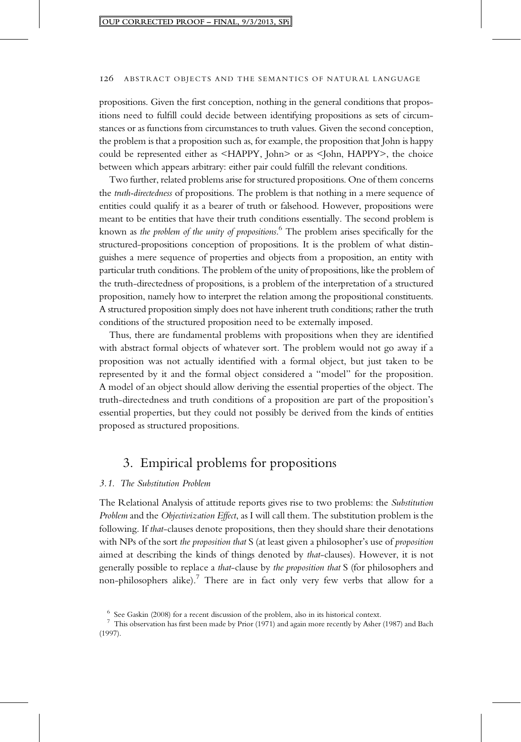propositions. Given the first conception, nothing in the general conditions that propositions need to fulfill could decide between identifying propositions as sets of circumstances or as functions from circumstances to truth values. Given the second conception, the problem is that a proposition such as, for example, the proposition that John is happy could be represented either as <HAPPY, John> or as <John, HAPPY>, the choice between which appears arbitrary: either pair could fulfill the relevant conditions.

Two further, related problems arise for structured propositions. One of them concerns the truth-directedness of propositions. The problem is that nothing in a mere sequence of entities could qualify it as a bearer of truth or falsehood. However, propositions were meant to be entities that have their truth conditions essentially. The second problem is known as *the problem of the unity of propositions.*<sup>6</sup> The problem arises specifically for the structured-propositions conception of propositions. It is the problem of what distinguishes a mere sequence of properties and objects from a proposition, an entity with particular truth conditions. The problem of the unity of propositions, like the problem of the truth-directedness of propositions, is a problem of the interpretation of a structured proposition, namely how to interpret the relation among the propositional constituents. A structured proposition simply does not have inherent truth conditions; rather the truth conditions of the structured proposition need to be externally imposed.

Thus, there are fundamental problems with propositions when they are identified with abstract formal objects of whatever sort. The problem would not go away if a proposition was not actually identified with a formal object, but just taken to be represented by it and the formal object considered a "model" for the proposition. A model of an object should allow deriving the essential properties of the object. The truth-directedness and truth conditions of a proposition are part of the proposition's essential properties, but they could not possibly be derived from the kinds of entities proposed as structured propositions.

# 3. Empirical problems for propositions

#### 3.1. The Substitution Problem

The Relational Analysis of attitude reports gives rise to two problems: the Substitution Problem and the Objectivization Effect, as I will call them. The substitution problem is the following. If that-clauses denote propositions, then they should share their denotations with NPs of the sort the proposition that S (at least given a philosopher's use of proposition aimed at describing the kinds of things denoted by that-clauses). However, it is not generally possible to replace a that-clause by the proposition that S (for philosophers and non-philosophers alike).<sup>7</sup> There are in fact only very few verbs that allow for a

<sup>&</sup>lt;sup>6</sup> See Gaskin (2008) for a recent discussion of the problem, also in its historical context.<br><sup>7</sup> This observation has first been made by Prior (1971) and again more recently by Asher (1987) and Bach (1997).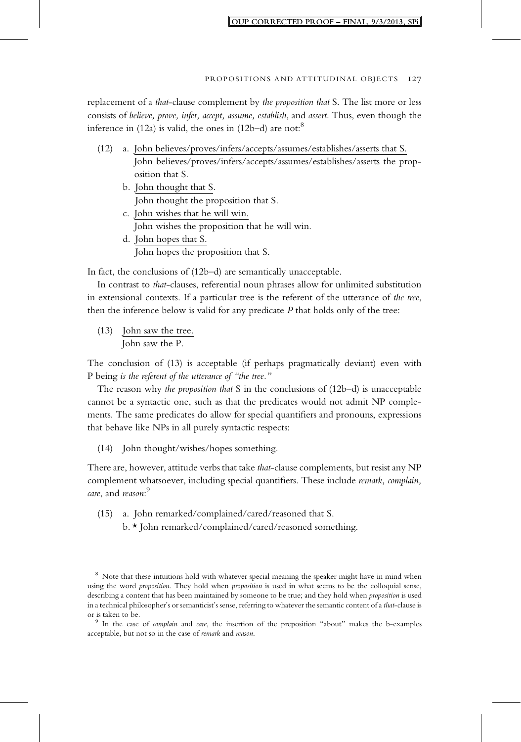#### OUP CORRECTED PROOF – FINAL, 9/3/2013, SPi

#### PROPOSITIONS AND ATTITUDINAL OBJECTS 127

replacement of a that-clause complement by the proposition that S. The list more or less consists of believe, prove, infer, accept, assume, establish, and assert. Thus, even though the inference in  $(12a)$  is valid, the ones in  $(12b-d)$  are not:<sup>8</sup>

- (12) a. John believes/proves/infers/accepts/assumes/establishes/asserts that S. John believes/proves/infers/accepts/assumes/establishes/asserts the proposition that S.
	- b. John thought that S. John thought the proposition that S.
	- c. John wishes that he will win. John wishes the proposition that he will win. d. John hopes that S.
		- John hopes the proposition that S.

In fact, the conclusions of (12b–d) are semantically unacceptable.

In contrast to that-clauses, referential noun phrases allow for unlimited substitution in extensional contexts. If a particular tree is the referent of the utterance of the tree, then the inference below is valid for any predicate  $P$  that holds only of the tree:

(13) John saw the tree. John saw the P.

The conclusion of (13) is acceptable (if perhaps pragmatically deviant) even with P being is the referent of the utterance of "the tree."

The reason why the proposition that S in the conclusions of (12b-d) is unacceptable cannot be a syntactic one, such as that the predicates would not admit NP complements. The same predicates do allow for special quantifiers and pronouns, expressions that behave like NPs in all purely syntactic respects:

(14) John thought/wishes/hopes something.

There are, however, attitude verbs that take *that*-clause complements, but resist any NP complement whatsoever, including special quantifiers. These include remark, complain, care, and reason:<sup>9</sup>

(15) a. John remarked/complained/cared/reasoned that S.

b. \* John remarked/complained/cared/reasoned something.

<sup>&</sup>lt;sup>8</sup> Note that these intuitions hold with whatever special meaning the speaker might have in mind when using the word *proposition*. They hold when *proposition* is used in what seems to be the colloquial sense, describing a content that has been maintained by someone to be true; and they hold when proposition is used in a technical philosopher's or semanticist's sense, referring to whatever the semantic content of a *that*-clause is or is taken to be.

<sup>&</sup>lt;sup>9</sup> In the case of *complain* and *care*, the insertion of the preposition "about" makes the b-examples acceptable, but not so in the case of remark and reason.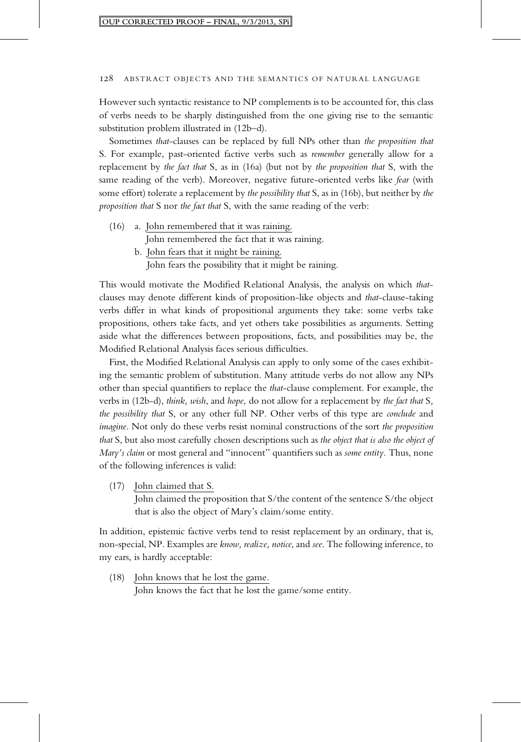However such syntactic resistance to NP complements is to be accounted for, this class of verbs needs to be sharply distinguished from the one giving rise to the semantic substitution problem illustrated in (12b–d).

Sometimes that-clauses can be replaced by full NPs other than the proposition that S. For example, past-oriented factive verbs such as remember generally allow for a replacement by the fact that S, as in (16a) (but not by the proposition that S, with the same reading of the verb). Moreover, negative future-oriented verbs like *fear* (with some effort) tolerate a replacement by the possibility that S, as in (16b), but neither by the proposition that S nor the fact that S, with the same reading of the verb:

- (16) a. John remembered that it was raining. John remembered the fact that it was raining.
	- b. John fears that it might be raining. John fears the possibility that it might be raining.

This would motivate the Modified Relational Analysis, the analysis on which thatclauses may denote different kinds of proposition-like objects and that-clause-taking verbs differ in what kinds of propositional arguments they take: some verbs take propositions, others take facts, and yet others take possibilities as arguments. Setting aside what the differences between propositions, facts, and possibilities may be, the Modified Relational Analysis faces serious difficulties.

First, the Modified Relational Analysis can apply to only some of the cases exhibiting the semantic problem of substitution. Many attitude verbs do not allow any NPs other than special quantifiers to replace the that-clause complement. For example, the verbs in (12b-d), think, wish, and hope, do not allow for a replacement by the fact that S, the possibility that S, or any other full NP. Other verbs of this type are *conclude* and imagine. Not only do these verbs resist nominal constructions of the sort the proposition that S, but also most carefully chosen descriptions such as the object that is also the object of Mary's claim or most general and "innocent" quantifiers such as some entity. Thus, none of the following inferences is valid:

(17) John claimed that S.

John claimed the proposition that S/the content of the sentence S/the object that is also the object of Mary's claim/some entity.

In addition, epistemic factive verbs tend to resist replacement by an ordinary, that is, non-special, NP. Examples are know, realize, notice, and see. The following inference, to my ears, is hardly acceptable:

(18) John knows that he lost the game. John knows the fact that he lost the game/some entity.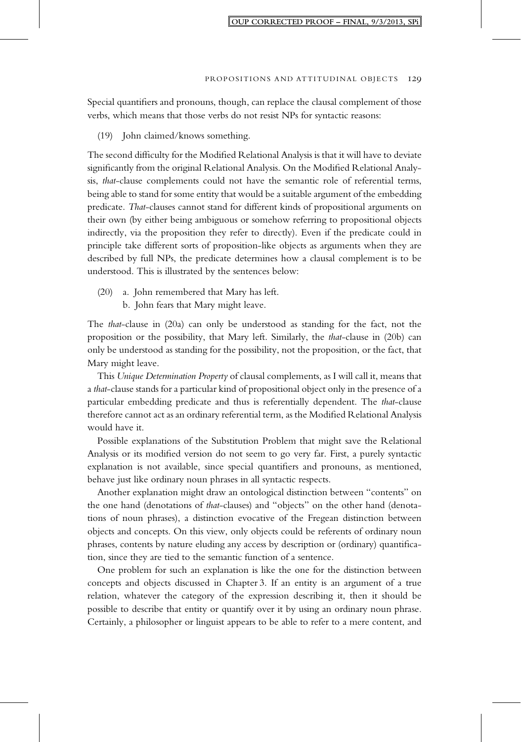Special quantifiers and pronouns, though, can replace the clausal complement of those verbs, which means that those verbs do not resist NPs for syntactic reasons:

(19) John claimed/knows something.

The second difficulty for the Modified Relational Analysis is that it will have to deviate significantly from the original Relational Analysis. On the Modified Relational Analysis, that-clause complements could not have the semantic role of referential terms, being able to stand for some entity that would be a suitable argument of the embedding predicate. That-clauses cannot stand for different kinds of propositional arguments on their own (by either being ambiguous or somehow referring to propositional objects indirectly, via the proposition they refer to directly). Even if the predicate could in principle take different sorts of proposition-like objects as arguments when they are described by full NPs, the predicate determines how a clausal complement is to be understood. This is illustrated by the sentences below:

(20) a. John remembered that Mary has left. b. John fears that Mary might leave.

The that-clause in (20a) can only be understood as standing for the fact, not the proposition or the possibility, that Mary left. Similarly, the that-clause in (20b) can only be understood as standing for the possibility, not the proposition, or the fact, that Mary might leave.

This Unique Determination Property of clausal complements, as I will call it, means that a that-clause stands for a particular kind of propositional object only in the presence of a particular embedding predicate and thus is referentially dependent. The that-clause therefore cannot act as an ordinary referential term, as the Modified Relational Analysis would have it.

Possible explanations of the Substitution Problem that might save the Relational Analysis or its modified version do not seem to go very far. First, a purely syntactic explanation is not available, since special quantifiers and pronouns, as mentioned, behave just like ordinary noun phrases in all syntactic respects.

Another explanation might draw an ontological distinction between "contents" on the one hand (denotations of that-clauses) and "objects" on the other hand (denotations of noun phrases), a distinction evocative of the Fregean distinction between objects and concepts. On this view, only objects could be referents of ordinary noun phrases, contents by nature eluding any access by description or (ordinary) quantification, since they are tied to the semantic function of a sentence.

One problem for such an explanation is like the one for the distinction between concepts and objects discussed in Chapter 3. If an entity is an argument of a true relation, whatever the category of the expression describing it, then it should be possible to describe that entity or quantify over it by using an ordinary noun phrase. Certainly, a philosopher or linguist appears to be able to refer to a mere content, and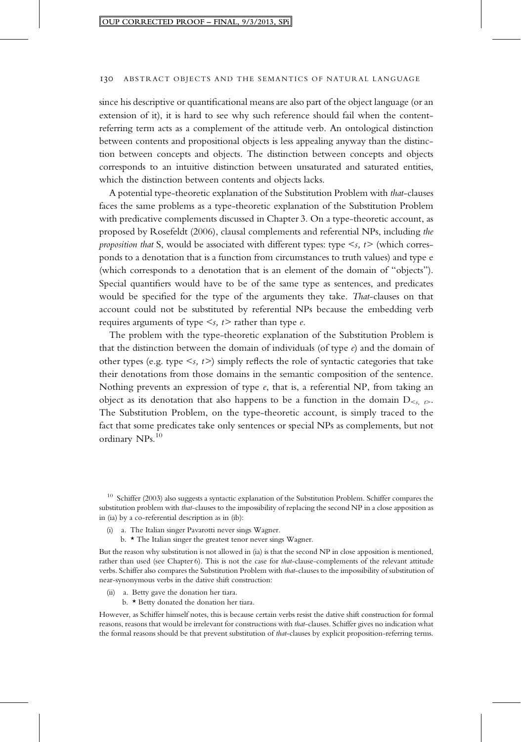since his descriptive or quantificational means are also part of the object language (or an extension of it), it is hard to see why such reference should fail when the contentreferring term acts as a complement of the attitude verb. An ontological distinction between contents and propositional objects is less appealing anyway than the distinction between concepts and objects. The distinction between concepts and objects corresponds to an intuitive distinction between unsaturated and saturated entities, which the distinction between contents and objects lacks.

A potential type-theoretic explanation of the Substitution Problem with that-clauses faces the same problems as a type-theoretic explanation of the Substitution Problem with predicative complements discussed in Chapter 3. On a type-theoretic account, as proposed by Rosefeldt (2006), clausal complements and referential NPs, including the proposition that S, would be associated with different types: type  $\leq s$ ,  $t$  > (which corresponds to a denotation that is a function from circumstances to truth values) and type e (which corresponds to a denotation that is an element of the domain of "objects"). Special quantifiers would have to be of the same type as sentences, and predicates would be specified for the type of the arguments they take. That-clauses on that account could not be substituted by referential NPs because the embedding verb requires arguments of type  $\leq s$ ,  $t$  rather than type  $e$ .

The problem with the type-theoretic explanation of the Substitution Problem is that the distinction between the domain of individuals (of type  $e$ ) and the domain of other types (e.g. type  $\langle s, t \rangle$ ) simply reflects the role of syntactic categories that take their denotations from those domains in the semantic composition of the sentence. Nothing prevents an expression of type e, that is, a referential NP, from taking an object as its denotation that also happens to be a function in the domain  $D_{\leq s}$ . The Substitution Problem, on the type-theoretic account, is simply traced to the fact that some predicates take only sentences or special NPs as complements, but not ordinary NPs.<sup>10</sup>

- (i) a. The Italian singer Pavarotti never sings Wagner.
	- b. \* The Italian singer the greatest tenor never sings Wagner.

But the reason why substitution is not allowed in (ia) is that the second NP in close apposition is mentioned, rather than used (see Chapter 6). This is not the case for that-clause-complements of the relevant attitude verbs. Schiffer also compares the Substitution Problem with that-clauses to the impossibility of substitution of near-synonymous verbs in the dative shift construction:

- (ii) a. Betty gave the donation her tiara.
	- b. \* Betty donated the donation her tiara.

However, as Schiffer himself notes, this is because certain verbs resist the dative shift construction for formal reasons, reasons that would be irrelevant for constructions with that-clauses. Schiffer gives no indication what the formal reasons should be that prevent substitution of *that*-clauses by explicit proposition-referring terms.

 $10$  Schiffer (2003) also suggests a syntactic explanation of the Substitution Problem. Schiffer compares the substitution problem with that-clauses to the impossibility of replacing the second NP in a close apposition as in (ia) by a co-referential description as in (ib):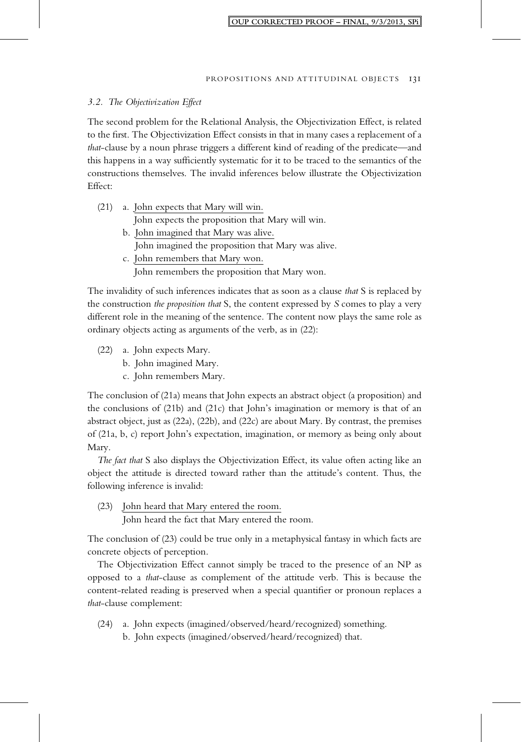#### 3.2. The Objectivization Effect

The second problem for the Relational Analysis, the Objectivization Effect, is related to the first. The Objectivization Effect consists in that in many cases a replacement of a that-clause by a noun phrase triggers a different kind of reading of the predicate—and this happens in a way sufficiently systematic for it to be traced to the semantics of the constructions themselves. The invalid inferences below illustrate the Objectivization Effect:

- (21) a. John expects that Mary will win. John expects the proposition that Mary will win.
	- b. John imagined that Mary was alive. John imagined the proposition that Mary was alive. c. John remembers that Mary won.
	- John remembers the proposition that Mary won.

The invalidity of such inferences indicates that as soon as a clause *that* S is replaced by the construction the proposition that S, the content expressed by S comes to play a very different role in the meaning of the sentence. The content now plays the same role as ordinary objects acting as arguments of the verb, as in (22):

(22) a. John expects Mary.

b. John imagined Mary.

c. John remembers Mary.

The conclusion of (21a) means that John expects an abstract object (a proposition) and the conclusions of  $(21b)$  and  $(21c)$  that John's imagination or memory is that of an abstract object, just as (22a), (22b), and (22c) are about Mary. By contrast, the premises of (21a, b, c) report John's expectation, imagination, or memory as being only about Mary.

The fact that S also displays the Objectivization Effect, its value often acting like an object the attitude is directed toward rather than the attitude's content. Thus, the following inference is invalid:

(23) John heard that Mary entered the room. John heard the fact that Mary entered the room.

The conclusion of (23) could be true only in a metaphysical fantasy in which facts are concrete objects of perception.

The Objectivization Effect cannot simply be traced to the presence of an NP as opposed to a that-clause as complement of the attitude verb. This is because the content-related reading is preserved when a special quantifier or pronoun replaces a that-clause complement:

(24) a. John expects (imagined/observed/heard/recognized) something.

b. John expects (imagined/observed/heard/recognized) that.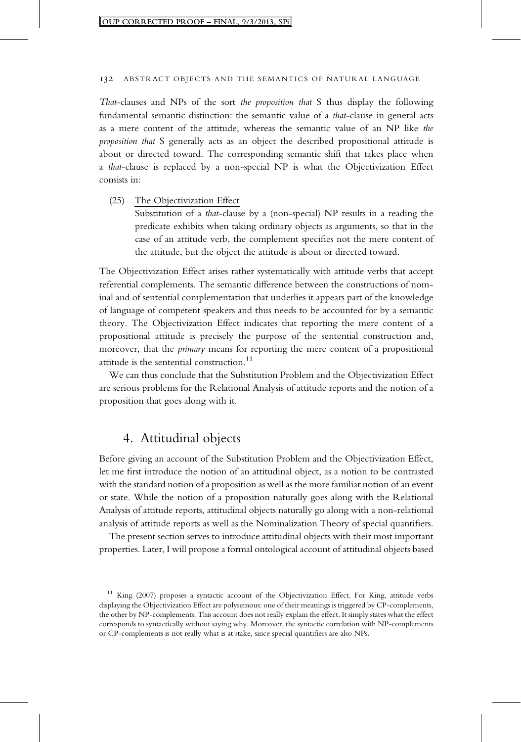That-clauses and NPs of the sort the proposition that S thus display the following fundamental semantic distinction: the semantic value of a that-clause in general acts as a mere content of the attitude, whereas the semantic value of an NP like the proposition that S generally acts as an object the described propositional attitude is about or directed toward. The corresponding semantic shift that takes place when a that-clause is replaced by a non-special NP is what the Objectivization Effect consists in:

(25) The Objectivization Effect

Substitution of a that-clause by a (non-special) NP results in a reading the predicate exhibits when taking ordinary objects as arguments, so that in the case of an attitude verb, the complement specifies not the mere content of the attitude, but the object the attitude is about or directed toward.

The Objectivization Effect arises rather systematically with attitude verbs that accept referential complements. The semantic difference between the constructions of nominal and of sentential complementation that underlies it appears part of the knowledge of language of competent speakers and thus needs to be accounted for by a semantic theory. The Objectivization Effect indicates that reporting the mere content of a propositional attitude is precisely the purpose of the sentential construction and, moreover, that the primary means for reporting the mere content of a propositional attitude is the sentential construction.<sup>11</sup>

We can thus conclude that the Substitution Problem and the Objectivization Effect are serious problems for the Relational Analysis of attitude reports and the notion of a proposition that goes along with it.

# 4. Attitudinal objects

Before giving an account of the Substitution Problem and the Objectivization Effect, let me first introduce the notion of an attitudinal object, as a notion to be contrasted with the standard notion of a proposition as well as the more familiar notion of an event or state. While the notion of a proposition naturally goes along with the Relational Analysis of attitude reports, attitudinal objects naturally go along with a non-relational analysis of attitude reports as well as the Nominalization Theory of special quantifiers.

The present section serves to introduce attitudinal objects with their most important properties. Later, I will propose a formal ontological account of attitudinal objects based

<sup>&</sup>lt;sup>11</sup> King (2007) proposes a syntactic account of the Objectivization Effect. For King, attitude verbs displaying the Objectivization Effect are polysemous: one of their meanings is triggered by CP-complements, the other by NP-complements. This account does not really explain the effect. It simply states what the effect corresponds to syntactically without saying why. Moreover, the syntactic correlation with NP-complements or CP-complements is not really what is at stake, since special quantifiers are also NPs.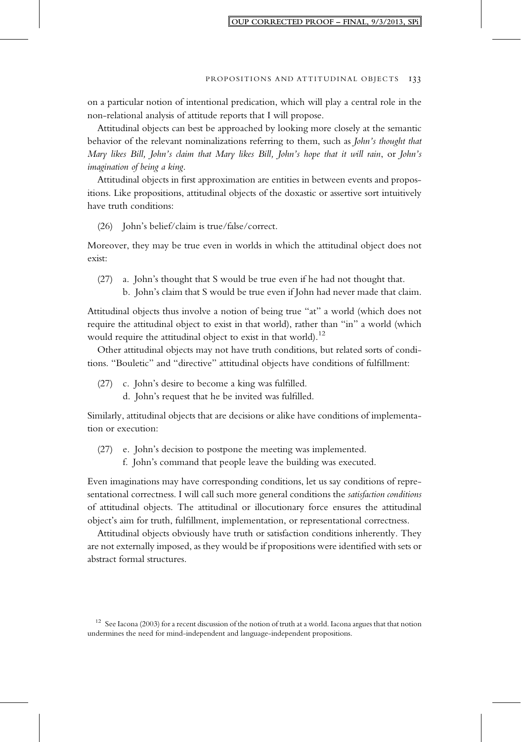OUP CORRECTED PROOF – FINAL, 9/3/2013, SPi

#### PROPOSITIONS AND ATTITUDINAL OBJECTS 133

on a particular notion of intentional predication, which will play a central role in the non-relational analysis of attitude reports that I will propose.

Attitudinal objects can best be approached by looking more closely at the semantic behavior of the relevant nominalizations referring to them, such as John's thought that Mary likes Bill, John's claim that Mary likes Bill, John's hope that it will rain, or John's imagination of being a king.

Attitudinal objects in first approximation are entities in between events and propositions. Like propositions, attitudinal objects of the doxastic or assertive sort intuitively have truth conditions:

(26) John's belief/claim is true/false/correct.

Moreover, they may be true even in worlds in which the attitudinal object does not exist:

- (27) a. John's thought that S would be true even if he had not thought that.
	- b. John's claim that S would be true even if John had never made that claim.

Attitudinal objects thus involve a notion of being true "at" a world (which does not require the attitudinal object to exist in that world), rather than "in" a world (which would require the attitudinal object to exist in that world).<sup>12</sup>

Other attitudinal objects may not have truth conditions, but related sorts of conditions. "Bouletic" and "directive" attitudinal objects have conditions of fulfillment:

- (27) c. John's desire to become a king was fulfilled.
	- d. John's request that he be invited was fulfilled.

Similarly, attitudinal objects that are decisions or alike have conditions of implementation or execution:

- (27) e. John's decision to postpone the meeting was implemented.
	- f. John's command that people leave the building was executed.

Even imaginations may have corresponding conditions, let us say conditions of representational correctness. I will call such more general conditions the satisfaction conditions of attitudinal objects. The attitudinal or illocutionary force ensures the attitudinal object's aim for truth, fulfillment, implementation, or representational correctness.

Attitudinal objects obviously have truth or satisfaction conditions inherently. They are not externally imposed, as they would be if propositions were identified with sets or abstract formal structures.

<sup>&</sup>lt;sup>12</sup> See Iacona (2003) for a recent discussion of the notion of truth at a world. Iacona argues that that notion undermines the need for mind-independent and language-independent propositions.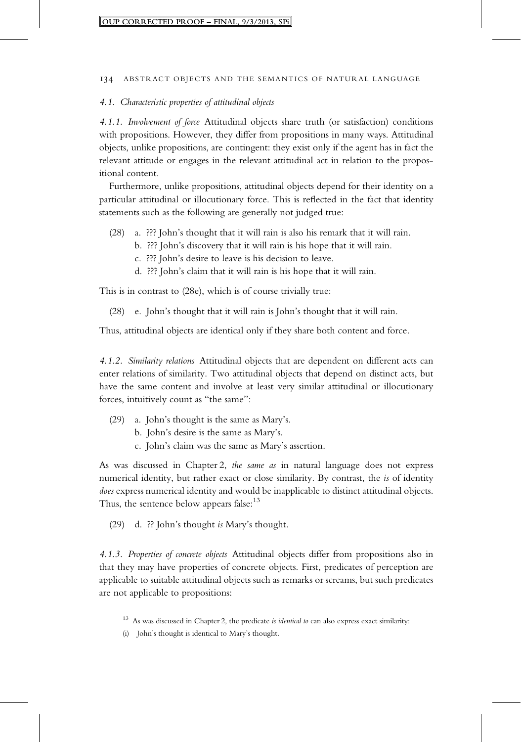#### 4.1. Characteristic properties of attitudinal objects

4.1.1. Involvement of force Attitudinal objects share truth (or satisfaction) conditions with propositions. However, they differ from propositions in many ways. Attitudinal objects, unlike propositions, are contingent: they exist only if the agent has in fact the relevant attitude or engages in the relevant attitudinal act in relation to the propositional content.

Furthermore, unlike propositions, attitudinal objects depend for their identity on a particular attitudinal or illocutionary force. This is reflected in the fact that identity statements such as the following are generally not judged true:

- (28) a. ??? John's thought that it will rain is also his remark that it will rain.
	- b. ??? John's discovery that it will rain is his hope that it will rain.
	- c. ??? John's desire to leave is his decision to leave.
	- d. ??? John's claim that it will rain is his hope that it will rain.

This is in contrast to (28e), which is of course trivially true:

(28) e. John's thought that it will rain is John's thought that it will rain.

Thus, attitudinal objects are identical only if they share both content and force.

4.1.2. Similarity relations Attitudinal objects that are dependent on different acts can enter relations of similarity. Two attitudinal objects that depend on distinct acts, but have the same content and involve at least very similar attitudinal or illocutionary forces, intuitively count as "the same":

- (29) a. John's thought is the same as Mary's.
	- b. John's desire is the same as Mary's.
	- c. John's claim was the same as Mary's assertion.

As was discussed in Chapter 2, the same as in natural language does not express numerical identity, but rather exact or close similarity. By contrast, the is of identity does express numerical identity and would be inapplicable to distinct attitudinal objects. Thus, the sentence below appears false:<sup>13</sup>

(29) d. ?? John's thought is Mary's thought.

4.1.3. Properties of concrete objects Attitudinal objects differ from propositions also in that they may have properties of concrete objects. First, predicates of perception are applicable to suitable attitudinal objects such as remarks or screams, but such predicates are not applicable to propositions:

- <sup>13</sup> As was discussed in Chapter 2, the predicate is identical to can also express exact similarity:
- (i) John's thought is identical to Mary's thought.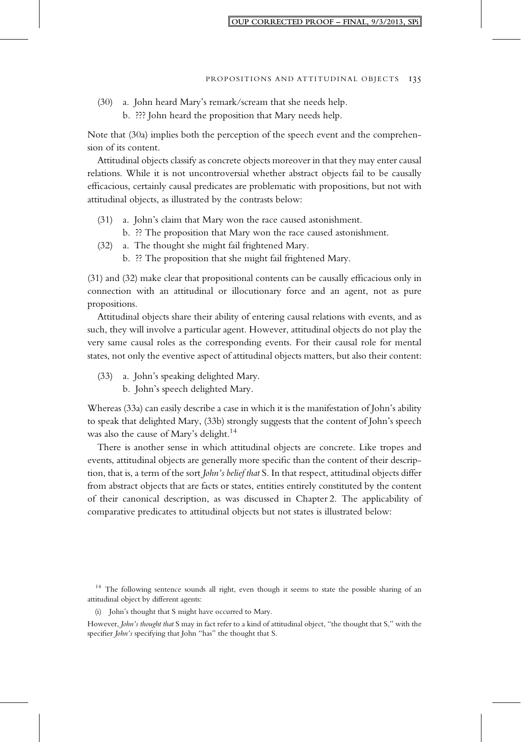- (30) a. John heard Mary's remark/scream that she needs help.
	- b. ??? John heard the proposition that Mary needs help.

Note that (30a) implies both the perception of the speech event and the comprehension of its content.

Attitudinal objects classify as concrete objects moreover in that they may enter causal relations. While it is not uncontroversial whether abstract objects fail to be causally efficacious, certainly causal predicates are problematic with propositions, but not with attitudinal objects, as illustrated by the contrasts below:

- (31) a. John's claim that Mary won the race caused astonishment.
	- b. ?? The proposition that Mary won the race caused astonishment.
- (32) a. The thought she might fail frightened Mary.
	- b. ?? The proposition that she might fail frightened Mary.

(31) and (32) make clear that propositional contents can be causally efficacious only in connection with an attitudinal or illocutionary force and an agent, not as pure propositions.

Attitudinal objects share their ability of entering causal relations with events, and as such, they will involve a particular agent. However, attitudinal objects do not play the very same causal roles as the corresponding events. For their causal role for mental states, not only the eventive aspect of attitudinal objects matters, but also their content:

- (33) a. John's speaking delighted Mary.
	- b. John's speech delighted Mary.

Whereas (33a) can easily describe a case in which it is the manifestation of John's ability to speak that delighted Mary, (33b) strongly suggests that the content of John's speech was also the cause of Mary's delight.<sup>14</sup>

There is another sense in which attitudinal objects are concrete. Like tropes and events, attitudinal objects are generally more specific than the content of their description, that is, a term of the sort John's belief that S. In that respect, attitudinal objects differ from abstract objects that are facts or states, entities entirely constituted by the content of their canonical description, as was discussed in Chapter 2. The applicability of comparative predicates to attitudinal objects but not states is illustrated below:

<sup>14</sup> The following sentence sounds all right, even though it seems to state the possible sharing of an attitudinal object by different agents:

(i) John's thought that S might have occurred to Mary.

However, John's thought that S may in fact refer to a kind of attitudinal object, "the thought that S," with the specifier John's specifying that John "has" the thought that S.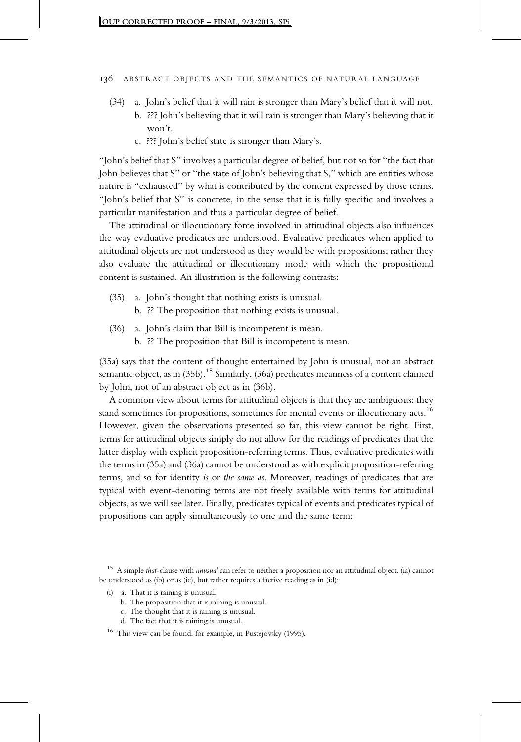- (34) a. John's belief that it will rain is stronger than Mary's belief that it will not. b. ??? John's believing that it will rain is stronger than Mary's believing that it won't.
	- c. ??? John's belief state is stronger than Mary's.

"John's belief that S" involves a particular degree of belief, but not so for "the fact that John believes that S" or "the state of John's believing that S," which are entities whose nature is "exhausted" by what is contributed by the content expressed by those terms. "John's belief that S" is concrete, in the sense that it is fully specific and involves a particular manifestation and thus a particular degree of belief.

The attitudinal or illocutionary force involved in attitudinal objects also influences the way evaluative predicates are understood. Evaluative predicates when applied to attitudinal objects are not understood as they would be with propositions; rather they also evaluate the attitudinal or illocutionary mode with which the propositional content is sustained. An illustration is the following contrasts:

- (35) a. John's thought that nothing exists is unusual.
	- b. ?? The proposition that nothing exists is unusual.
- (36) a. John's claim that Bill is incompetent is mean. b. ?? The proposition that Bill is incompetent is mean.

(35a) says that the content of thought entertained by John is unusual, not an abstract semantic object, as in  $(35b)$ .<sup>15</sup> Similarly,  $(36a)$  predicates meanness of a content claimed by John, not of an abstract object as in (36b).

A common view about terms for attitudinal objects is that they are ambiguous: they stand sometimes for propositions, sometimes for mental events or illocutionary acts.<sup>16</sup> However, given the observations presented so far, this view cannot be right. First, terms for attitudinal objects simply do not allow for the readings of predicates that the latter display with explicit proposition-referring terms. Thus, evaluative predicates with the terms in (35a) and (36a) cannot be understood as with explicit proposition-referring terms, and so for identity is or the same as. Moreover, readings of predicates that are typical with event-denoting terms are not freely available with terms for attitudinal objects, as we will see later. Finally, predicates typical of events and predicates typical of propositions can apply simultaneously to one and the same term:

- (i) a. That it is raining is unusual.
	- b. The proposition that it is raining is unusual.
	- c. The thought that it is raining is unusual.
	- d. The fact that it is raining is unusual.
- <sup>16</sup> This view can be found, for example, in Pustejovsky (1995).

<sup>&</sup>lt;sup>15</sup> A simple that-clause with unusual can refer to neither a proposition nor an attitudinal object. (ia) cannot be understood as (ib) or as (ic), but rather requires a factive reading as in (id):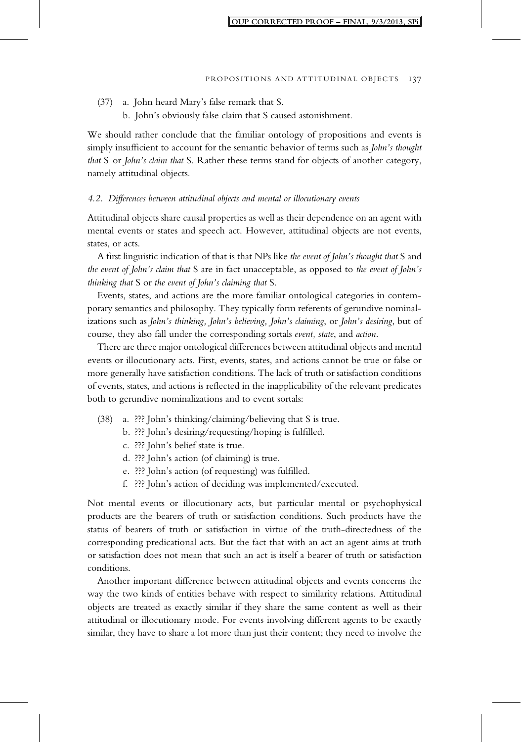- (37) a. John heard Mary's false remark that S.
	- b. John's obviously false claim that S caused astonishment.

We should rather conclude that the familiar ontology of propositions and events is simply insufficient to account for the semantic behavior of terms such as *John's thought* that S or John's claim that S. Rather these terms stand for objects of another category, namely attitudinal objects.

#### 4.2. Differences between attitudinal objects and mental or illocutionary events

Attitudinal objects share causal properties as well as their dependence on an agent with mental events or states and speech act. However, attitudinal objects are not events, states, or acts.

A first linguistic indication of that is that NPs like the event of John's thought that S and the event of John's claim that S are in fact unacceptable, as opposed to the event of John's thinking that S or the event of John's claiming that S.

Events, states, and actions are the more familiar ontological categories in contemporary semantics and philosophy. They typically form referents of gerundive nominalizations such as John's thinking, John's believing, John's claiming, or John's desiring, but of course, they also fall under the corresponding sortals event, state, and action.

There are three major ontological differences between attitudinal objects and mental events or illocutionary acts. First, events, states, and actions cannot be true or false or more generally have satisfaction conditions. The lack of truth or satisfaction conditions of events, states, and actions is reflected in the inapplicability of the relevant predicates both to gerundive nominalizations and to event sortals:

- (38) a. ??? John's thinking/claiming/believing that S is true.
	- b. ??? John's desiring/requesting/hoping is fulfilled.
	- c. ??? John's belief state is true.
	- d. ??? John's action (of claiming) is true.
	- e. ??? John's action (of requesting) was fulfilled.
	- f. ??? John's action of deciding was implemented/executed.

Not mental events or illocutionary acts, but particular mental or psychophysical products are the bearers of truth or satisfaction conditions. Such products have the status of bearers of truth or satisfaction in virtue of the truth-directedness of the corresponding predicational acts. But the fact that with an act an agent aims at truth or satisfaction does not mean that such an act is itself a bearer of truth or satisfaction conditions.

Another important difference between attitudinal objects and events concerns the way the two kinds of entities behave with respect to similarity relations. Attitudinal objects are treated as exactly similar if they share the same content as well as their attitudinal or illocutionary mode. For events involving different agents to be exactly similar, they have to share a lot more than just their content; they need to involve the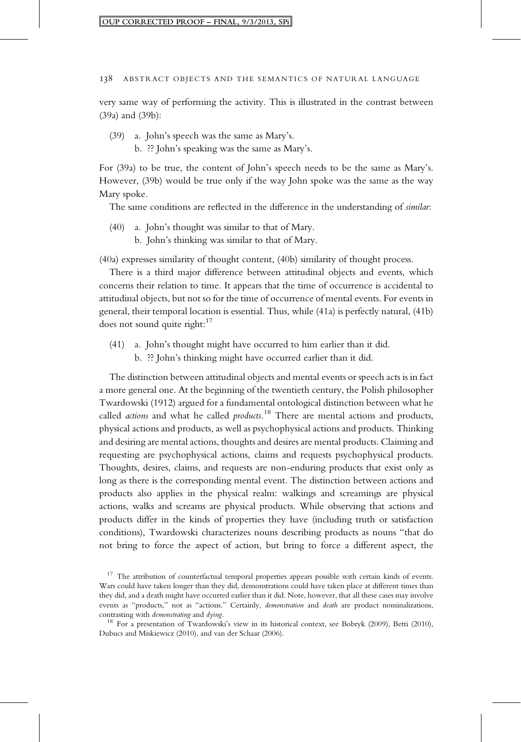very same way of performing the activity. This is illustrated in the contrast between (39a) and (39b):

- (39) a. John's speech was the same as Mary's.
	- b. ?? John's speaking was the same as Mary's.

For (39a) to be true, the content of John's speech needs to be the same as Mary's. However, (39b) would be true only if the way John spoke was the same as the way Mary spoke.

The same conditions are reflected in the difference in the understanding of similar:

(40) a. John's thought was similar to that of Mary. b. John's thinking was similar to that of Mary.

(40a) expresses similarity of thought content, (40b) similarity of thought process.

There is a third major difference between attitudinal objects and events, which concerns their relation to time. It appears that the time of occurrence is accidental to attitudinal objects, but not so for the time of occurrence of mental events. For events in general, their temporal location is essential. Thus, while (41a) is perfectly natural, (41b) does not sound quite right:<sup>17</sup>

(41) a. John's thought might have occurred to him earlier than it did. b. ?? John's thinking might have occurred earlier than it did.

The distinction between attitudinal objects and mental events or speech acts is in fact a more general one. At the beginning of the twentieth century, the Polish philosopher Twardowski (1912) argued for a fundamental ontological distinction between what he called *actions* and what he called *products*.<sup>18</sup> There are mental actions and products, physical actions and products, as well as psychophysical actions and products. Thinking and desiring are mental actions, thoughts and desires are mental products. Claiming and requesting are psychophysical actions, claims and requests psychophysical products. Thoughts, desires, claims, and requests are non-enduring products that exist only as long as there is the corresponding mental event. The distinction between actions and products also applies in the physical realm: walkings and screamings are physical actions, walks and screams are physical products. While observing that actions and products differ in the kinds of properties they have (including truth or satisfaction conditions), Twardowski characterizes nouns describing products as nouns "that do not bring to force the aspect of action, but bring to force a different aspect, the

<sup>&</sup>lt;sup>17</sup> The attribution of counterfactual temporal properties appears possible with certain kinds of events. Wars could have taken longer than they did, demonstrations could have taken place at different times than they did, and a death might have occurred earlier than it did. Note, however, that all these cases may involve events as "products," not as "actions." Certainly, demonstration and death are product nominalizations, contrasting with *demonstrating* and dying.<br><sup>18</sup> For a presentation of Twardowski's view in its historical context, see Bobryk (2009), Betti (2010),

Dubucs and Miskiewicz (2010), and van der Schaar (2006).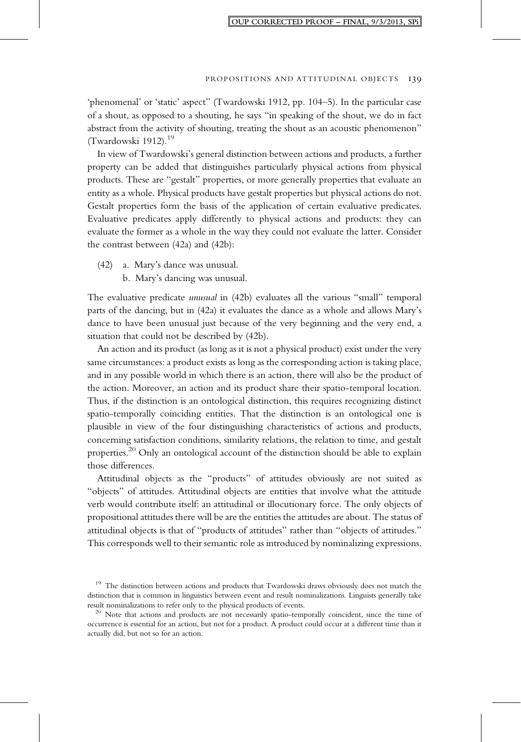'phenomenal' or 'static' aspect" (Twardowski 1912, pp. 104–5). In the particular case of a shout, as opposed to a shouting, he says "in speaking of the shout, we do in fact abstract from the activity of shouting, treating the shout as an acoustic phenomenon" (Twardowski 1912). $19$ 

In view of Twardowski's general distinction between actions and products, a further property can be added that distinguishes particularly physical actions from physical products. These are "gestalt" properties, or more generally properties that evaluate an entity as a whole. Physical products have gestalt properties but physical actions do not. Gestalt properties form the basis of the application of certain evaluative predicates. Evaluative predicates apply differently to physical actions and products: they can evaluate the former as a whole in the way they could not evaluate the latter. Consider the contrast between (42a) and (42b):

- (42) a. Mary's dance was unusual.
	- b. Mary's dancing was unusual.

The evaluative predicate unusual in (42b) evaluates all the various "small" temporal parts of the dancing, but in (42a) it evaluates the dance as a whole and allows Mary's dance to have been unusual just because of the very beginning and the very end, a situation that could not be described by (42b).

An action and its product (as long as it is not a physical product) exist under the very same circumstances: a product exists as long as the corresponding action is taking place, and in any possible world in which there is an action, there will also be the product of the action. Moreover, an action and its product share their spatio-temporal location. Thus, if the distinction is an ontological distinction, this requires recognizing distinct spatio-temporally coinciding entities. That the distinction is an ontological one is plausible in view of the four distinguishing characteristics of actions and products, concerning satisfaction conditions, similarity relations, the relation to time, and gestalt properties.<sup>20</sup> Only an ontological account of the distinction should be able to explain those differences.

Attitudinal objects as the "products" of attitudes obviously are not suited as "objects" of attitudes. Attitudinal objects are entities that involve what the attitude verb would contribute itself: an attitudinal or illocutionary force. The only objects of propositional attitudes there will be are the entities the attitudes are about. The status of attitudinal objects is that of "products of attitudes" rather than "objects of attitudes." This corresponds well to their semantic role as introduced by nominalizing expressions.

<sup>&</sup>lt;sup>19</sup> The distinction between actions and products that Twardowski draws obviously does not match the distinction that is common in linguistics between event and result nominalizations. Linguists generally take

result nominalizations to refer only to the physical products of events. <sup>20</sup> Note that actions and products are not necessarily spatio-temporally coincident, since the time of occurrence is essential for an action, but not for a product. A product could occur at a different time than it actually did, but not so for an action.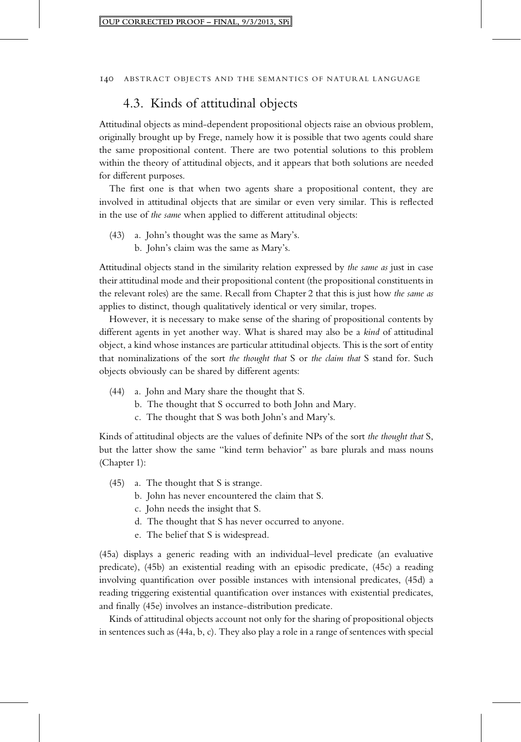# 4.3. Kinds of attitudinal objects

Attitudinal objects as mind-dependent propositional objects raise an obvious problem, originally brought up by Frege, namely how it is possible that two agents could share the same propositional content. There are two potential solutions to this problem within the theory of attitudinal objects, and it appears that both solutions are needed for different purposes.

The first one is that when two agents share a propositional content, they are involved in attitudinal objects that are similar or even very similar. This is reflected in the use of the same when applied to different attitudinal objects:

- (43) a. John's thought was the same as Mary's.
	- b. John's claim was the same as Mary's.

Attitudinal objects stand in the similarity relation expressed by the same as just in case their attitudinal mode and their propositional content (the propositional constituents in the relevant roles) are the same. Recall from Chapter 2 that this is just how the same as applies to distinct, though qualitatively identical or very similar, tropes.

However, it is necessary to make sense of the sharing of propositional contents by different agents in yet another way. What is shared may also be a kind of attitudinal object, a kind whose instances are particular attitudinal objects. This is the sort of entity that nominalizations of the sort the thought that S or the claim that S stand for. Such objects obviously can be shared by different agents:

- (44) a. John and Mary share the thought that S.
	- b. The thought that S occurred to both John and Mary.
	- c. The thought that S was both John's and Mary's.

Kinds of attitudinal objects are the values of definite NPs of the sort the thought that S, but the latter show the same "kind term behavior" as bare plurals and mass nouns (Chapter 1):

- (45) a. The thought that S is strange.
	- b. John has never encountered the claim that S.
	- c. John needs the insight that S.
	- d. The thought that S has never occurred to anyone.
	- e. The belief that S is widespread.

(45a) displays a generic reading with an individual–level predicate (an evaluative predicate), (45b) an existential reading with an episodic predicate, (45c) a reading involving quantification over possible instances with intensional predicates, (45d) a reading triggering existential quantification over instances with existential predicates, and finally (45e) involves an instance-distribution predicate.

Kinds of attitudinal objects account not only for the sharing of propositional objects in sentences such as (44a, b, c). They also play a role in a range of sentences with special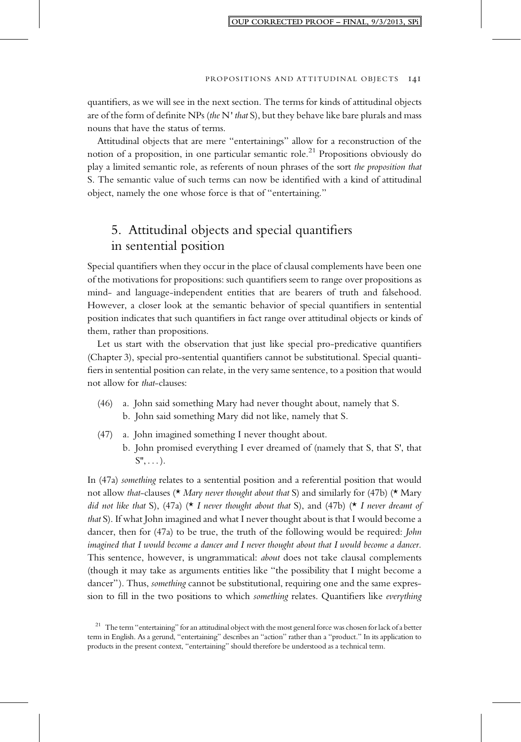quantifiers, as we will see in the next section. The terms for kinds of attitudinal objects are of the form of definite NPs (the N' that S), but they behave like bare plurals and mass nouns that have the status of terms.

Attitudinal objects that are mere "entertainings" allow for a reconstruction of the notion of a proposition, in one particular semantic role.<sup>21</sup> Propositions obviously do play a limited semantic role, as referents of noun phrases of the sort the proposition that S. The semantic value of such terms can now be identified with a kind of attitudinal object, namely the one whose force is that of "entertaining."

# 5. Attitudinal objects and special quantifiers in sentential position

Special quantifiers when they occur in the place of clausal complements have been one of the motivations for propositions: such quantifiers seem to range over propositions as mind- and language-independent entities that are bearers of truth and falsehood. However, a closer look at the semantic behavior of special quantifiers in sentential position indicates that such quantifiers in fact range over attitudinal objects or kinds of them, rather than propositions.

Let us start with the observation that just like special pro-predicative quantifiers (Chapter 3), special pro-sentential quantifiers cannot be substitutional. Special quantifiers in sentential position can relate, in the very same sentence, to a position that would not allow for that-clauses:

- (46) a. John said something Mary had never thought about, namely that S. b. John said something Mary did not like, namely that S.
- (47) a. John imagined something I never thought about. b. John promised everything I ever dreamed of (namely that S, that S', that  $S'', \ldots$ ).

In (47a) something relates to a sentential position and a referential position that would not allow that-clauses ( $\star$  Mary never thought about that S) and similarly for (47b) ( $\star$  Mary did not like that S), (47a) ( $\star$  I never thought about that S), and (47b) ( $\star$  I never dreamt of that S). If what John imagined and what I never thought about is that I would become a dancer, then for (47a) to be true, the truth of the following would be required: John imagined that I would become a dancer and I never thought about that I would become a dancer. This sentence, however, is ungrammatical: about does not take clausal complements (though it may take as arguments entities like "the possibility that I might become a dancer"). Thus, something cannot be substitutional, requiring one and the same expression to fill in the two positions to which something relates. Quantifiers like everything

<sup>&</sup>lt;sup>21</sup> The term "entertaining" for an attitudinal object with the most general force was chosen for lack of a better term in English. As a gerund, "entertaining" describes an "action" rather than a "product." In its application to products in the present context, "entertaining" should therefore be understood as a technical term.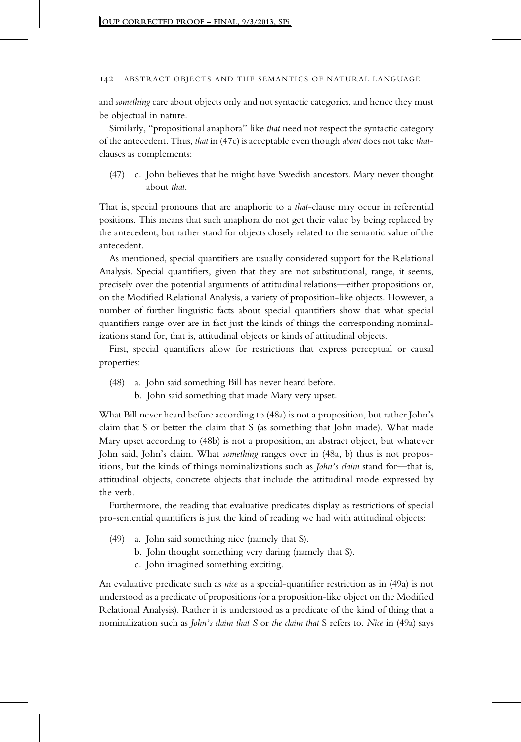#### OUP CORRECTED PROOF – FINAL, 9/3/2013, SPi

#### 142 ABSTRACT OBJECTS AND THE SEMANTICS OF NATURAL LANGUAGE

and something care about objects only and not syntactic categories, and hence they must be objectual in nature.

Similarly, "propositional anaphora" like that need not respect the syntactic category of the antecedent. Thus, that in (47c) is acceptable even though about does not take thatclauses as complements:

(47) c. John believes that he might have Swedish ancestors. Mary never thought about that.

That is, special pronouns that are anaphoric to a that-clause may occur in referential positions. This means that such anaphora do not get their value by being replaced by the antecedent, but rather stand for objects closely related to the semantic value of the antecedent.

As mentioned, special quantifiers are usually considered support for the Relational Analysis. Special quantifiers, given that they are not substitutional, range, it seems, precisely over the potential arguments of attitudinal relations—either propositions or, on the Modified Relational Analysis, a variety of proposition-like objects. However, a number of further linguistic facts about special quantifiers show that what special quantifiers range over are in fact just the kinds of things the corresponding nominalizations stand for, that is, attitudinal objects or kinds of attitudinal objects.

First, special quantifiers allow for restrictions that express perceptual or causal properties:

- (48) a. John said something Bill has never heard before.
	- b. John said something that made Mary very upset.

What Bill never heard before according to (48a) is not a proposition, but rather John's claim that S or better the claim that S (as something that John made). What made Mary upset according to (48b) is not a proposition, an abstract object, but whatever John said, John's claim. What something ranges over in (48a, b) thus is not propositions, but the kinds of things nominalizations such as John's claim stand for—that is, attitudinal objects, concrete objects that include the attitudinal mode expressed by the verb.

Furthermore, the reading that evaluative predicates display as restrictions of special pro-sentential quantifiers is just the kind of reading we had with attitudinal objects:

- (49) a. John said something nice (namely that S).
	- b. John thought something very daring (namely that S).
	- c. John imagined something exciting.

An evaluative predicate such as nice as a special-quantifier restriction as in (49a) is not understood as a predicate of propositions (or a proposition-like object on the Modified Relational Analysis). Rather it is understood as a predicate of the kind of thing that a nominalization such as John's claim that S or the claim that S refers to. Nice in (49a) says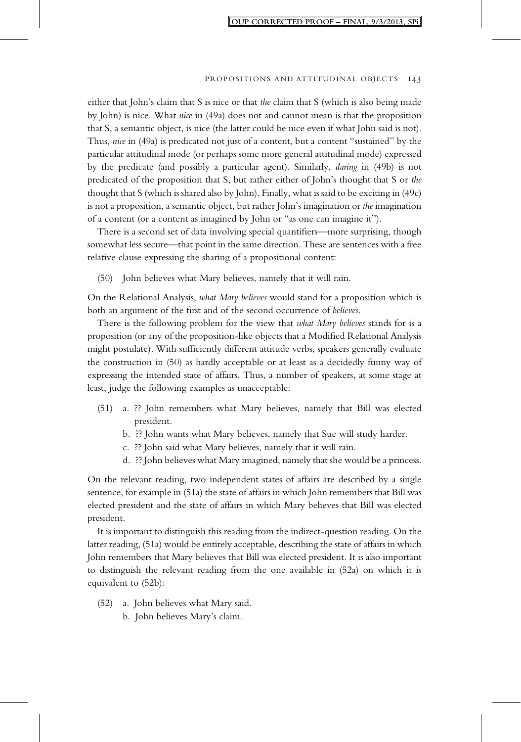either that John's claim that S is nice or that the claim that S (which is also being made by John) is nice. What nice in (49a) does not and cannot mean is that the proposition that S, a semantic object, is nice (the latter could be nice even if what John said is not). Thus, nice in (49a) is predicated not just of a content, but a content "sustained" by the particular attitudinal mode (or perhaps some more general attitudinal mode) expressed by the predicate (and possibly a particular agent). Similarly, daring in (49b) is not predicated of the proposition that S, but rather either of John's thought that S or the thought that S (which is shared also by John). Finally, what is said to be exciting in (49c) is not a proposition, a semantic object, but rather John's imagination or the imagination of a content (or a content as imagined by John or "as one can imagine it").

There is a second set of data involving special quantifiers—more surprising, though somewhat less secure—that point in the same direction. These are sentences with a free relative clause expressing the sharing of a propositional content:

(50) John believes what Mary believes, namely that it will rain.

On the Relational Analysis, what Mary believes would stand for a proposition which is both an argument of the first and of the second occurrence of believes.

There is the following problem for the view that *what Mary believes* stands for is a proposition (or any of the proposition-like objects that a Modified Relational Analysis might postulate). With sufficiently different attitude verbs, speakers generally evaluate the construction in (50) as hardly acceptable or at least as a decidedly funny way of expressing the intended state of affairs. Thus, a number of speakers, at some stage at least, judge the following examples as unacceptable:

- (51) a. ?? John remembers what Mary believes, namely that Bill was elected president.
	- b. ?? John wants what Mary believes, namely that Sue will study harder.
	- c. ?? John said what Mary believes, namely that it will rain.
	- d. ?? John believes what Mary imagined, namely that she would be a princess.

On the relevant reading, two independent states of affairs are described by a single sentence, for example in (51a) the state of affairs in which John remembers that Bill was elected president and the state of affairs in which Mary believes that Bill was elected president.

It is important to distinguish this reading from the indirect-question reading. On the latter reading, (51a) would be entirely acceptable, describing the state of affairs in which John remembers that Mary believes that Bill was elected president. It is also important to distinguish the relevant reading from the one available in (52a) on which it is equivalent to (52b):

- (52) a. John believes what Mary said.
	- b. John believes Mary's claim.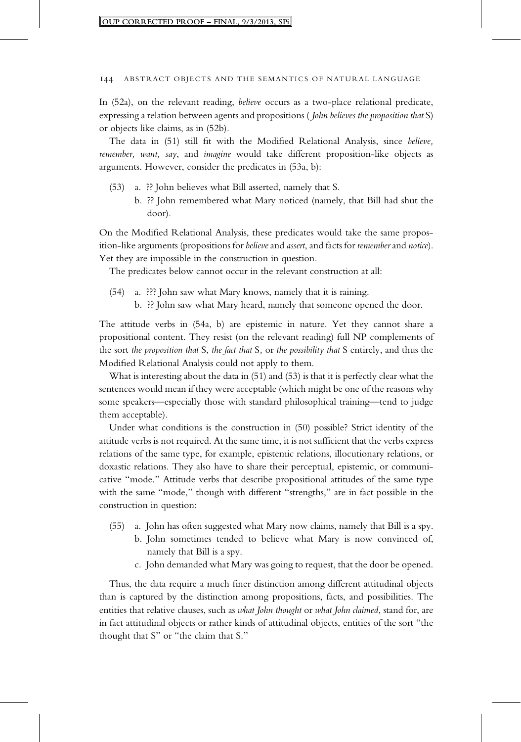In (52a), on the relevant reading, believe occurs as a two-place relational predicate, expressing a relation between agents and propositions ( John believes the proposition that S) or objects like claims, as in (52b).

The data in (51) still fit with the Modified Relational Analysis, since believe, remember, want, say, and imagine would take different proposition-like objects as arguments. However, consider the predicates in (53a, b):

- (53) a. ?? John believes what Bill asserted, namely that S.
	- b. ?? John remembered what Mary noticed (namely, that Bill had shut the door).

On the Modified Relational Analysis, these predicates would take the same proposition-like arguments (propositions for believe and assert, and facts for remember and notice). Yet they are impossible in the construction in question.

The predicates below cannot occur in the relevant construction at all:

- (54) a. ??? John saw what Mary knows, namely that it is raining.
	- b. ?? John saw what Mary heard, namely that someone opened the door.

The attitude verbs in (54a, b) are epistemic in nature. Yet they cannot share a propositional content. They resist (on the relevant reading) full NP complements of the sort the proposition that S, the fact that S, or the possibility that S entirely, and thus the Modified Relational Analysis could not apply to them.

What is interesting about the data in (51) and (53) is that it is perfectly clear what the sentences would mean if they were acceptable (which might be one of the reasons why some speakers—especially those with standard philosophical training—tend to judge them acceptable).

Under what conditions is the construction in (50) possible? Strict identity of the attitude verbs is not required. At the same time, it is not sufficient that the verbs express relations of the same type, for example, epistemic relations, illocutionary relations, or doxastic relations. They also have to share their perceptual, epistemic, or communicative "mode." Attitude verbs that describe propositional attitudes of the same type with the same "mode," though with different "strengths," are in fact possible in the construction in question:

- (55) a. John has often suggested what Mary now claims, namely that Bill is a spy. b. John sometimes tended to believe what Mary is now convinced of,
	- namely that Bill is a spy.
	- c. John demanded what Mary was going to request, that the door be opened.

Thus, the data require a much finer distinction among different attitudinal objects than is captured by the distinction among propositions, facts, and possibilities. The entities that relative clauses, such as what John thought or what John claimed, stand for, are in fact attitudinal objects or rather kinds of attitudinal objects, entities of the sort "the thought that S" or "the claim that S."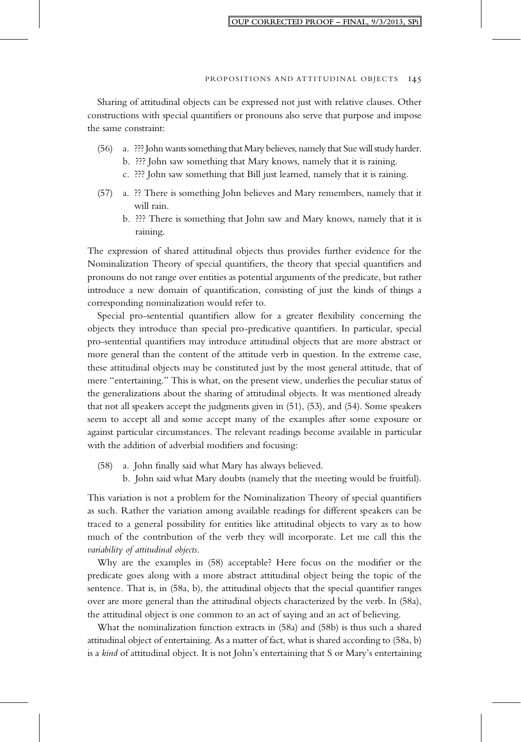#### OUP CORRECTED PROOF – FINAL, 9/3/2013, SPi

PROPOSITIONS AND ATTITUDINAL OBJECTS 145

Sharing of attitudinal objects can be expressed not just with relative clauses. Other constructions with special quantifiers or pronouns also serve that purpose and impose the same constraint:

- (56) a. ??? John wants something that Mary believes, namely that Sue will study harder.
	- b. ??? John saw something that Mary knows, namely that it is raining.
	- c. ??? John saw something that Bill just learned, namely that it is raining.
- (57) a. ?? There is something John believes and Mary remembers, namely that it will rain.
	- b. ??? There is something that John saw and Mary knows, namely that it is raining.

The expression of shared attitudinal objects thus provides further evidence for the Nominalization Theory of special quantifiers, the theory that special quantifiers and pronouns do not range over entities as potential arguments of the predicate, but rather introduce a new domain of quantification, consisting of just the kinds of things a corresponding nominalization would refer to.

Special pro-sentential quantifiers allow for a greater flexibility concerning the objects they introduce than special pro-predicative quantifiers. In particular, special pro-sentential quantifiers may introduce attitudinal objects that are more abstract or more general than the content of the attitude verb in question. In the extreme case, these attitudinal objects may be constituted just by the most general attitude, that of mere "entertaining." This is what, on the present view, underlies the peculiar status of the generalizations about the sharing of attitudinal objects. It was mentioned already that not all speakers accept the judgments given in (51), (53), and (54). Some speakers seem to accept all and some accept many of the examples after some exposure or against particular circumstances. The relevant readings become available in particular with the addition of adverbial modifiers and focusing:

- (58) a. John finally said what Mary has always believed.
	- b. John said what Mary doubts (namely that the meeting would be fruitful).

This variation is not a problem for the Nominalization Theory of special quantifiers as such. Rather the variation among available readings for different speakers can be traced to a general possibility for entities like attitudinal objects to vary as to how much of the contribution of the verb they will incorporate. Let me call this the variability of attitudinal objects.

Why are the examples in (58) acceptable? Here focus on the modifier or the predicate goes along with a more abstract attitudinal object being the topic of the sentence. That is, in (58a, b), the attitudinal objects that the special quantifier ranges over are more general than the attitudinal objects characterized by the verb. In (58a), the attitudinal object is one common to an act of saying and an act of believing.

What the nominalization function extracts in (58a) and (58b) is thus such a shared attitudinal object of entertaining. As a matter of fact, what is shared according to (58a, b) is a kind of attitudinal object. It is not John's entertaining that S or Mary's entertaining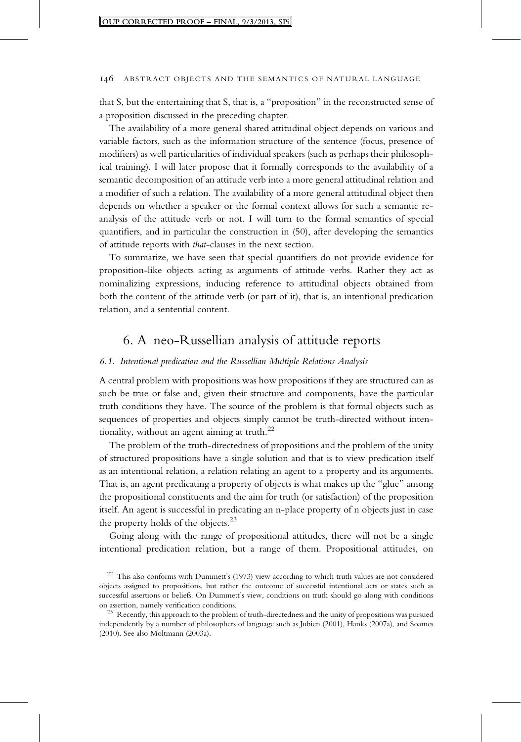that S, but the entertaining that S, that is, a "proposition" in the reconstructed sense of a proposition discussed in the preceding chapter.

The availability of a more general shared attitudinal object depends on various and variable factors, such as the information structure of the sentence (focus, presence of modifiers) as well particularities of individual speakers (such as perhaps their philosophical training). I will later propose that it formally corresponds to the availability of a semantic decomposition of an attitude verb into a more general attitudinal relation and a modifier of such a relation. The availability of a more general attitudinal object then depends on whether a speaker or the formal context allows for such a semantic reanalysis of the attitude verb or not. I will turn to the formal semantics of special quantifiers, and in particular the construction in (50), after developing the semantics of attitude reports with that-clauses in the next section.

To summarize, we have seen that special quantifiers do not provide evidence for proposition-like objects acting as arguments of attitude verbs. Rather they act as nominalizing expressions, inducing reference to attitudinal objects obtained from both the content of the attitude verb (or part of it), that is, an intentional predication relation, and a sentential content.

# 6. A neo-Russellian analysis of attitude reports

#### 6.1. Intentional predication and the Russellian Multiple Relations Analysis

A central problem with propositions was how propositions if they are structured can as such be true or false and, given their structure and components, have the particular truth conditions they have. The source of the problem is that formal objects such as sequences of properties and objects simply cannot be truth-directed without intentionality, without an agent aiming at truth.<sup>22</sup>

The problem of the truth-directedness of propositions and the problem of the unity of structured propositions have a single solution and that is to view predication itself as an intentional relation, a relation relating an agent to a property and its arguments. That is, an agent predicating a property of objects is what makes up the "glue" among the propositional constituents and the aim for truth (or satisfaction) of the proposition itself. An agent is successful in predicating an n-place property of n objects just in case the property holds of the objects. $^{23}$ 

Going along with the range of propositional attitudes, there will not be a single intentional predication relation, but a range of them. Propositional attitudes, on

<sup>&</sup>lt;sup>22</sup> This also conforms with Dummett's (1973) view according to which truth values are not considered objects assigned to propositions, but rather the outcome of successful intentional acts or states such as successful assertions or beliefs. On Dummett's view, conditions on truth should go along with conditions on assertion, namely verification conditions.<br><sup>23</sup> Recently, this approach to the problem of truth-directedness and the unity of propositions was pursued

independently by a number of philosophers of language such as Jubien (2001), Hanks (2007a), and Soames (2010). See also Moltmann (2003a).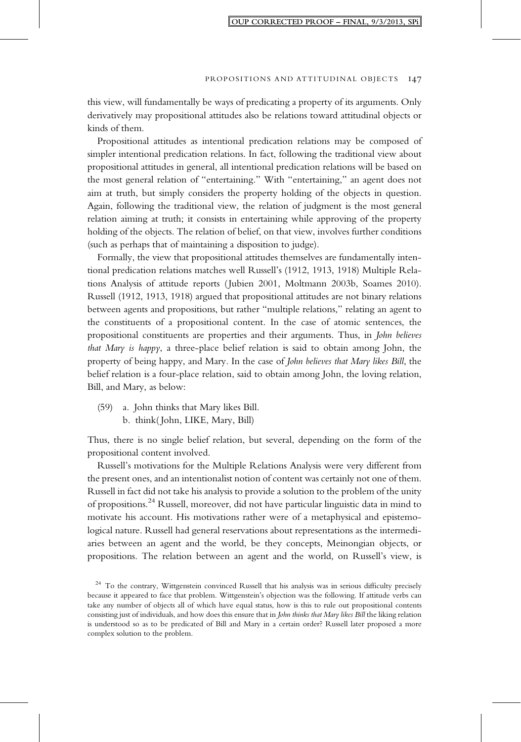this view, will fundamentally be ways of predicating a property of its arguments. Only derivatively may propositional attitudes also be relations toward attitudinal objects or kinds of them.

Propositional attitudes as intentional predication relations may be composed of simpler intentional predication relations. In fact, following the traditional view about propositional attitudes in general, all intentional predication relations will be based on the most general relation of "entertaining." With "entertaining," an agent does not aim at truth, but simply considers the property holding of the objects in question. Again, following the traditional view, the relation of judgment is the most general relation aiming at truth; it consists in entertaining while approving of the property holding of the objects. The relation of belief, on that view, involves further conditions (such as perhaps that of maintaining a disposition to judge).

Formally, the view that propositional attitudes themselves are fundamentally intentional predication relations matches well Russell's (1912, 1913, 1918) Multiple Relations Analysis of attitude reports ( Jubien 2001, Moltmann 2003b, Soames 2010). Russell (1912, 1913, 1918) argued that propositional attitudes are not binary relations between agents and propositions, but rather "multiple relations," relating an agent to the constituents of a propositional content. In the case of atomic sentences, the propositional constituents are properties and their arguments. Thus, in John believes that Mary is happy, a three-place belief relation is said to obtain among John, the property of being happy, and Mary. In the case of John believes that Mary likes Bill, the belief relation is a four-place relation, said to obtain among John, the loving relation, Bill, and Mary, as below:

(59) a. John thinks that Mary likes Bill. b. think( John, LIKE, Mary, Bill)

Thus, there is no single belief relation, but several, depending on the form of the propositional content involved.

Russell's motivations for the Multiple Relations Analysis were very different from the present ones, and an intentionalist notion of content was certainly not one of them. Russell in fact did not take his analysis to provide a solution to the problem of the unity of propositions.<sup>24</sup> Russell, moreover, did not have particular linguistic data in mind to motivate his account. His motivations rather were of a metaphysical and epistemological nature. Russell had general reservations about representations as the intermediaries between an agent and the world, be they concepts, Meinongian objects, or propositions. The relation between an agent and the world, on Russell's view, is

<sup>&</sup>lt;sup>24</sup> To the contrary, Wittgenstein convinced Russell that his analysis was in serious difficulty precisely because it appeared to face that problem. Wittgenstein's objection was the following. If attitude verbs can take any number of objects all of which have equal status, how is this to rule out propositional contents consisting just of individuals, and how does this ensure that in John thinks that Mary likes Bill the liking relation is understood so as to be predicated of Bill and Mary in a certain order? Russell later proposed a more complex solution to the problem.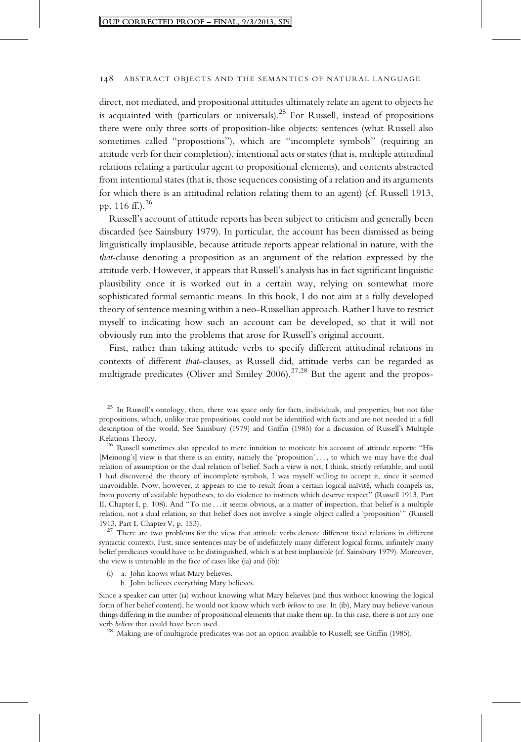direct, not mediated, and propositional attitudes ultimately relate an agent to objects he is acquainted with (particulars or universals).<sup>25</sup> For Russell, instead of propositions there were only three sorts of proposition-like objects: sentences (what Russell also sometimes called "propositions"), which are "incomplete symbols" (requiring an attitude verb for their completion), intentional acts or states (that is, multiple attitudinal relations relating a particular agent to propositional elements), and contents abstracted from intentional states (that is, those sequences consisting of a relation and its arguments for which there is an attitudinal relation relating them to an agent) (cf. Russell 1913, pp. 116 ff.).<sup>26</sup>

Russell's account of attitude reports has been subject to criticism and generally been discarded (see Sainsbury 1979). In particular, the account has been dismissed as being linguistically implausible, because attitude reports appear relational in nature, with the that-clause denoting a proposition as an argument of the relation expressed by the attitude verb. However, it appears that Russell's analysis has in fact significant linguistic plausibility once it is worked out in a certain way, relying on somewhat more sophisticated formal semantic means. In this book, I do not aim at a fully developed theory of sentence meaning within a neo-Russellian approach. Rather I have to restrict myself to indicating how such an account can be developed, so that it will not obviously run into the problems that arose for Russell's original account.

First, rather than taking attitude verbs to specify different attitudinal relations in contexts of different that-clauses, as Russell did, attitude verbs can be regarded as multigrade predicates (Oliver and Smiley  $2006$ ).<sup>27,28</sup> But the agent and the propos-

1913, Part I, Chapter V, p. 153).<br><sup>27</sup> There are two problems for the view that attitude verbs denote different fixed relations in different syntactic contexts. First, since sentences may be of indefinitely many different logical forms, infinitely many belief predicates would have to be distinguished, which is at best implausible (cf. Sainsbury 1979). Moreover, the view is untenable in the face of cases like (ia) and (ib):

- (i) a. John knows what Mary believes.
- b. John believes everything Mary believes.

Since a speaker can utter (ia) without knowing what Mary believes (and thus without knowing the logical form of her belief content), he would not know which verb believe to use. In (ib), Mary may believe various things differing in the number of propositional elements that make them up. In this case, there is not any one verb *believe* that could have been used.<br><sup>28</sup> Making use of multigrade predicates was not an option available to Russell; see Griffin (1985).

<sup>&</sup>lt;sup>25</sup> In Russell's ontology, then, there was space only for facts, individuals, and properties, but not false propositions, which, unlike true propositions, could not be identified with facts and are not needed in a full description of the world. See Sainsbury (1979) and Griffin (1985) for a discussion of Russell's Multiple Relations Theory.<br><sup>26</sup> Russell sometimes also appealed to mere intuition to motivate his account of attitude reports: "His

<sup>[</sup>Meinong's] view is that there is an entity, namely the 'proposition' ..., to which we may have the dual relation of assumption or the dual relation of belief. Such a view is not, I think, strictly refutable, and until I had discovered the theory of incomplete symbols, I was myself willing to accept it, since it seemed unavoidable. Now, however, it appears to me to result from a certain logical naïvité, which compels us, from poverty of available hypotheses, to do violence to instincts which deserve respect" (Russell 1913, Part II, Chapter I, p. 108). And "To me . . . it seems obvious, as a matter of inspection, that belief is a multiple relation, not a dual relation, so that belief does not involve a single object called a 'proposition'" (Russell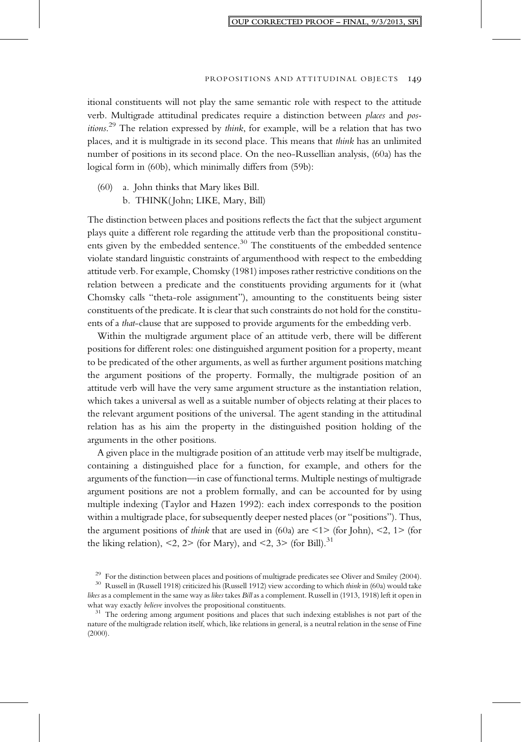itional constituents will not play the same semantic role with respect to the attitude verb. Multigrade attitudinal predicates require a distinction between places and pos*itions.*<sup>29</sup> The relation expressed by *think*, for example, will be a relation that has two places, and it is multigrade in its second place. This means that think has an unlimited number of positions in its second place. On the neo-Russellian analysis, (60a) has the logical form in (60b), which minimally differs from (59b):

- (60) a. John thinks that Mary likes Bill.
	- b. THINK( John; LIKE, Mary, Bill)

The distinction between places and positions reflects the fact that the subject argument plays quite a different role regarding the attitude verb than the propositional constituents given by the embedded sentence. $30$  The constituents of the embedded sentence violate standard linguistic constraints of argumenthood with respect to the embedding attitude verb. For example, Chomsky (1981) imposes rather restrictive conditions on the relation between a predicate and the constituents providing arguments for it (what Chomsky calls "theta-role assignment"), amounting to the constituents being sister constituents of the predicate. It is clear that such constraints do not hold for the constituents of a that-clause that are supposed to provide arguments for the embedding verb.

Within the multigrade argument place of an attitude verb, there will be different positions for different roles: one distinguished argument position for a property, meant to be predicated of the other arguments, as well as further argument positions matching the argument positions of the property. Formally, the multigrade position of an attitude verb will have the very same argument structure as the instantiation relation, which takes a universal as well as a suitable number of objects relating at their places to the relevant argument positions of the universal. The agent standing in the attitudinal relation has as his aim the property in the distinguished position holding of the arguments in the other positions.

A given place in the multigrade position of an attitude verb may itself be multigrade, containing a distinguished place for a function, for example, and others for the arguments of the function—in case of functional terms. Multiple nestings of multigrade argument positions are not a problem formally, and can be accounted for by using multiple indexing (Taylor and Hazen 1992): each index corresponds to the position within a multigrade place, for subsequently deeper nested places (or "positions"). Thus, the argument positions of *think* that are used in (60a) are  $\leq 1$  > (for John),  $\leq 2$ , 1 > (for the liking relation),  $\langle 2, 2 \rangle$  (for Mary), and  $\langle 2, 3 \rangle$  (for Bill).<sup>31</sup>

<sup>&</sup>lt;sup>29</sup> For the distinction between places and positions of multigrade predicates see Oliver and Smiley (2004). <br><sup>30</sup> Russell in (Russell 1918) criticized his (Russell 1912) view according to which *think* in (60a) would tak likes as a complement in the same way as likes takes Bill as a complement. Russell in (1913, 1918) left it open in what way exactly *believe* involves the propositional constituents.<br><sup>31</sup> The ordering among argument positions and places that such indexing establishes is not part of the

nature of the multigrade relation itself, which, like relations in general, is a neutral relation in the sense of Fine (2000).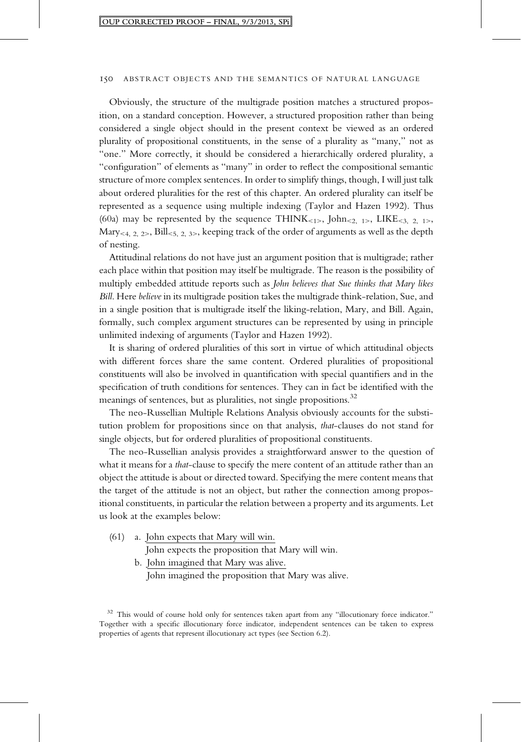Obviously, the structure of the multigrade position matches a structured proposition, on a standard conception. However, a structured proposition rather than being considered a single object should in the present context be viewed as an ordered plurality of propositional constituents, in the sense of a plurality as "many," not as "one." More correctly, it should be considered a hierarchically ordered plurality, a "configuration" of elements as "many" in order to reflect the compositional semantic structure of more complex sentences. In order to simplify things, though, I will just talk about ordered pluralities for the rest of this chapter. An ordered plurality can itself be represented as a sequence using multiple indexing (Taylor and Hazen 1992). Thus (60a) may be represented by the sequence THINK<sub><1></sub>,  $\text{John}_{\leq 2, 1>}$ ,  $\text{LIKE}_{\leq 3, 2, 1>}$ , Mary<sub> $\lt$ 4, 2, 2></sub>, Bill $\lt$ <sub>5, 2, 3></sub>, keeping track of the order of arguments as well as the depth of nesting.

Attitudinal relations do not have just an argument position that is multigrade; rather each place within that position may itself be multigrade. The reason is the possibility of multiply embedded attitude reports such as John believes that Sue thinks that Mary likes Bill. Here believe in its multigrade position takes the multigrade think-relation, Sue, and in a single position that is multigrade itself the liking-relation, Mary, and Bill. Again, formally, such complex argument structures can be represented by using in principle unlimited indexing of arguments (Taylor and Hazen 1992).

It is sharing of ordered pluralities of this sort in virtue of which attitudinal objects with different forces share the same content. Ordered pluralities of propositional constituents will also be involved in quantification with special quantifiers and in the specification of truth conditions for sentences. They can in fact be identified with the meanings of sentences, but as pluralities, not single propositions.<sup>32</sup>

The neo-Russellian Multiple Relations Analysis obviously accounts for the substitution problem for propositions since on that analysis, that-clauses do not stand for single objects, but for ordered pluralities of propositional constituents.

The neo-Russellian analysis provides a straightforward answer to the question of what it means for a *that*-clause to specify the mere content of an attitude rather than an object the attitude is about or directed toward. Specifying the mere content means that the target of the attitude is not an object, but rather the connection among propositional constituents, in particular the relation between a property and its arguments. Let us look at the examples below:

(61) a. John expects that Mary will win.

John expects the proposition that Mary will win.

b. John imagined that Mary was alive. John imagined the proposition that Mary was alive.

<sup>&</sup>lt;sup>32</sup> This would of course hold only for sentences taken apart from any "illocutionary force indicator." Together with a specific illocutionary force indicator, independent sentences can be taken to express properties of agents that represent illocutionary act types (see Section 6.2).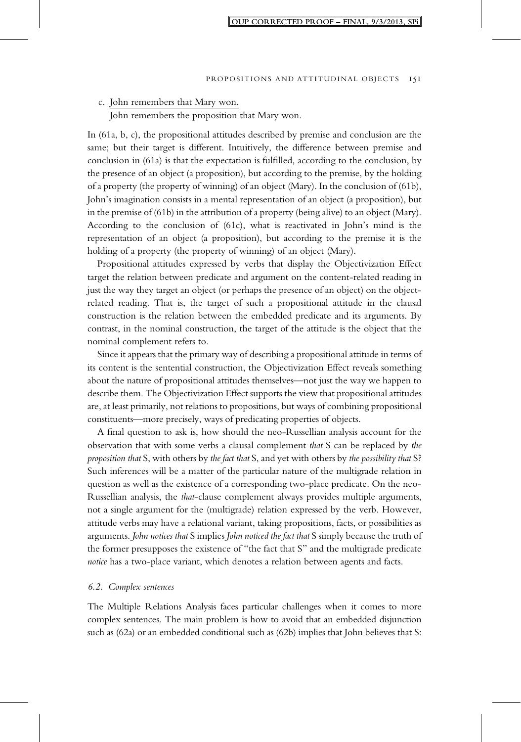c. John remembers that Mary won.

John remembers the proposition that Mary won.

In (61a, b, c), the propositional attitudes described by premise and conclusion are the same; but their target is different. Intuitively, the difference between premise and conclusion in (61a) is that the expectation is fulfilled, according to the conclusion, by the presence of an object (a proposition), but according to the premise, by the holding of a property (the property of winning) of an object (Mary). In the conclusion of (61b), John's imagination consists in a mental representation of an object (a proposition), but in the premise of (61b) in the attribution of a property (being alive) to an object (Mary). According to the conclusion of (61c), what is reactivated in John's mind is the representation of an object (a proposition), but according to the premise it is the holding of a property (the property of winning) of an object (Mary).

Propositional attitudes expressed by verbs that display the Objectivization Effect target the relation between predicate and argument on the content-related reading in just the way they target an object (or perhaps the presence of an object) on the objectrelated reading. That is, the target of such a propositional attitude in the clausal construction is the relation between the embedded predicate and its arguments. By contrast, in the nominal construction, the target of the attitude is the object that the nominal complement refers to.

Since it appears that the primary way of describing a propositional attitude in terms of its content is the sentential construction, the Objectivization Effect reveals something about the nature of propositional attitudes themselves—not just the way we happen to describe them. The Objectivization Effect supports the view that propositional attitudes are, at least primarily, not relations to propositions, but ways of combining propositional constituents—more precisely, ways of predicating properties of objects.

A final question to ask is, how should the neo-Russellian analysis account for the observation that with some verbs a clausal complement that S can be replaced by the proposition that S, with others by the fact that S, and yet with others by the possibility that S? Such inferences will be a matter of the particular nature of the multigrade relation in question as well as the existence of a corresponding two-place predicate. On the neo-Russellian analysis, the that-clause complement always provides multiple arguments, not a single argument for the (multigrade) relation expressed by the verb. However, attitude verbs may have a relational variant, taking propositions, facts, or possibilities as arguments. John notices that S implies John noticed the fact that S simply because the truth of the former presupposes the existence of "the fact that S" and the multigrade predicate notice has a two-place variant, which denotes a relation between agents and facts.

#### 6.2. Complex sentences

The Multiple Relations Analysis faces particular challenges when it comes to more complex sentences. The main problem is how to avoid that an embedded disjunction such as (62a) or an embedded conditional such as (62b) implies that John believes that S: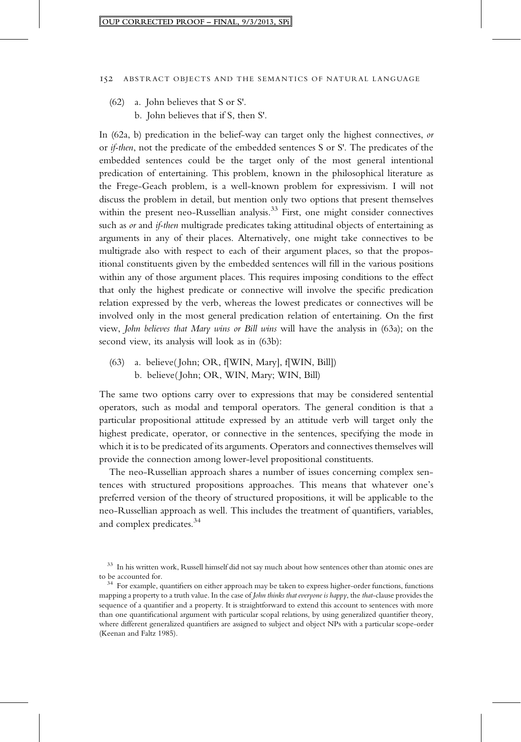(62) a. John believes that S or S'. b. John believes that if S, then S'.

In (62a, b) predication in the belief-way can target only the highest connectives, or or if-then, not the predicate of the embedded sentences S or S'. The predicates of the embedded sentences could be the target only of the most general intentional predication of entertaining. This problem, known in the philosophical literature as the Frege-Geach problem, is a well-known problem for expressivism. I will not discuss the problem in detail, but mention only two options that present themselves within the present neo-Russellian analysis. $^{33}$  First, one might consider connectives such as *or* and *if-then* multigrade predicates taking attitudinal objects of entertaining as arguments in any of their places. Alternatively, one might take connectives to be multigrade also with respect to each of their argument places, so that the propositional constituents given by the embedded sentences will fill in the various positions within any of those argument places. This requires imposing conditions to the effect that only the highest predicate or connective will involve the specific predication relation expressed by the verb, whereas the lowest predicates or connectives will be involved only in the most general predication relation of entertaining. On the first view, John believes that Mary wins or Bill wins will have the analysis in (63a); on the second view, its analysis will look as in (63b):

(63) a. believe( John; OR, f[WIN, Mary], f[WIN, Bill]) b. believe( John; OR, WIN, Mary; WIN, Bill)

The same two options carry over to expressions that may be considered sentential operators, such as modal and temporal operators. The general condition is that a particular propositional attitude expressed by an attitude verb will target only the highest predicate, operator, or connective in the sentences, specifying the mode in which it is to be predicated of its arguments. Operators and connectives themselves will provide the connection among lower-level propositional constituents.

The neo-Russellian approach shares a number of issues concerning complex sentences with structured propositions approaches. This means that whatever one's preferred version of the theory of structured propositions, it will be applicable to the neo-Russellian approach as well. This includes the treatment of quantifiers, variables, and complex predicates.<sup>34</sup>

<sup>&</sup>lt;sup>33</sup> In his written work, Russell himself did not say much about how sentences other than atomic ones are to be accounted for.<br> $34$  For example, quantifiers on either approach may be taken to express higher-order functions, functions

mapping a property to a truth value. In the case of John thinks that everyone is happy, the that-clause provides the sequence of a quantifier and a property. It is straightforward to extend this account to sentences with more than one quantificational argument with particular scopal relations, by using generalized quantifier theory, where different generalized quantifiers are assigned to subject and object NPs with a particular scope-order (Keenan and Faltz 1985).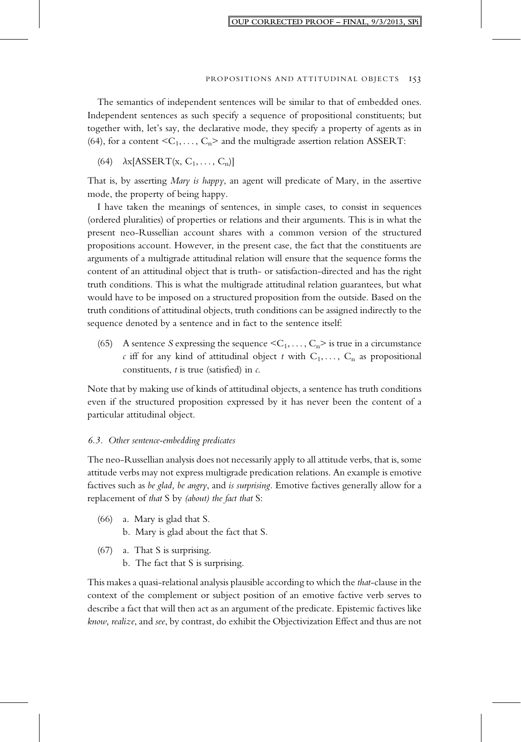The semantics of independent sentences will be similar to that of embedded ones. Independent sentences as such specify a sequence of propositional constituents; but together with, let's say, the declarative mode, they specify a property of agents as in (64), for a content  $\langle C_1, \ldots, C_n \rangle$  and the multigrade assertion relation ASSERT:

(64)  $\lambda$ x[ASSERT(x, C<sub>1</sub>, ..., C<sub>n</sub>)]

That is, by asserting Mary is happy, an agent will predicate of Mary, in the assertive mode, the property of being happy.

I have taken the meanings of sentences, in simple cases, to consist in sequences (ordered pluralities) of properties or relations and their arguments. This is in what the present neo-Russellian account shares with a common version of the structured propositions account. However, in the present case, the fact that the constituents are arguments of a multigrade attitudinal relation will ensure that the sequence forms the content of an attitudinal object that is truth- or satisfaction-directed and has the right truth conditions. This is what the multigrade attitudinal relation guarantees, but what would have to be imposed on a structured proposition from the outside. Based on the truth conditions of attitudinal objects, truth conditions can be assigned indirectly to the sequence denoted by a sentence and in fact to the sentence itself:

(65) A sentence S expressing the sequence  $\langle C_1, \ldots, C_n \rangle$  is true in a circumstance c iff for any kind of attitudinal object t with  $C_1, \ldots, C_n$  as propositional constituents,  $t$  is true (satisfied) in  $c$ .

Note that by making use of kinds of attitudinal objects, a sentence has truth conditions even if the structured proposition expressed by it has never been the content of a particular attitudinal object.

#### 6.3. Other sentence-embedding predicates

The neo-Russellian analysis does not necessarily apply to all attitude verbs, that is, some attitude verbs may not express multigrade predication relations. An example is emotive factives such as be glad, be angry, and is surprising. Emotive factives generally allow for a replacement of that S by (about) the fact that S:

- (66) a. Mary is glad that S.
	- b. Mary is glad about the fact that S.
- (67) a. That S is surprising.
	- b. The fact that S is surprising.

This makes a quasi-relational analysis plausible according to which the that-clause in the context of the complement or subject position of an emotive factive verb serves to describe a fact that will then act as an argument of the predicate. Epistemic factives like know, realize, and see, by contrast, do exhibit the Objectivization Effect and thus are not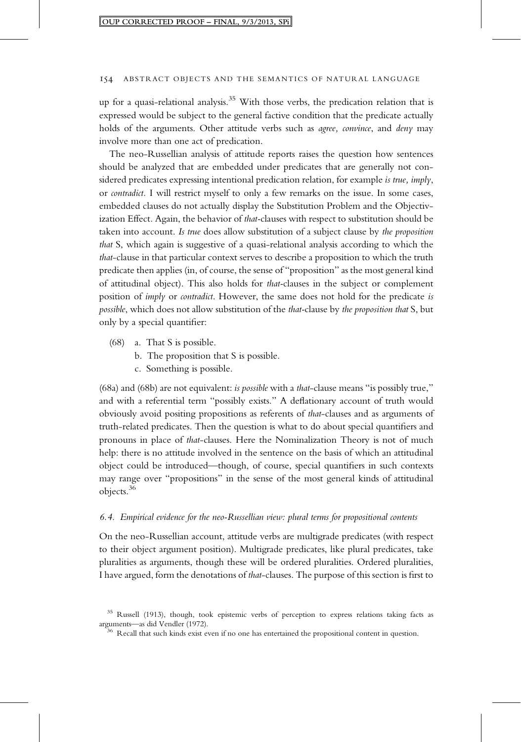up for a quasi-relational analysis.<sup>35</sup> With those verbs, the predication relation that is expressed would be subject to the general factive condition that the predicate actually holds of the arguments. Other attitude verbs such as agree, convince, and deny may involve more than one act of predication.

The neo-Russellian analysis of attitude reports raises the question how sentences should be analyzed that are embedded under predicates that are generally not considered predicates expressing intentional predication relation, for example *is true*, *imply*, or contradict. I will restrict myself to only a few remarks on the issue. In some cases, embedded clauses do not actually display the Substitution Problem and the Objectivization Effect. Again, the behavior of that-clauses with respect to substitution should be taken into account. Is true does allow substitution of a subject clause by the proposition that S, which again is suggestive of a quasi-relational analysis according to which the that-clause in that particular context serves to describe a proposition to which the truth predicate then applies (in, of course, the sense of "proposition" as the most general kind of attitudinal object). This also holds for that-clauses in the subject or complement position of *imply* or *contradict*. However, the same does not hold for the predicate is possible, which does not allow substitution of the that-clause by the proposition that S, but only by a special quantifier:

- (68) a. That S is possible.
	- b. The proposition that S is possible.
	- c. Something is possible.

(68a) and (68b) are not equivalent: is possible with a that-clause means "is possibly true," and with a referential term "possibly exists." A deflationary account of truth would obviously avoid positing propositions as referents of that-clauses and as arguments of truth-related predicates. Then the question is what to do about special quantifiers and pronouns in place of that-clauses. Here the Nominalization Theory is not of much help: there is no attitude involved in the sentence on the basis of which an attitudinal object could be introduced—though, of course, special quantifiers in such contexts may range over "propositions" in the sense of the most general kinds of attitudinal objects.<sup>36</sup>

#### 6.4. Empirical evidence for the neo-Russellian view: plural terms for propositional contents

On the neo-Russellian account, attitude verbs are multigrade predicates (with respect to their object argument position). Multigrade predicates, like plural predicates, take pluralities as arguments, though these will be ordered pluralities. Ordered pluralities, I have argued, form the denotations of that-clauses. The purpose of this section is first to

<sup>35</sup> Russell (1913), though, took epistemic verbs of perception to express relations taking facts as arguments—as did Vendler (1972).<br><sup>36</sup> Recall that such kinds exist even if no one has entertained the propositional content in question.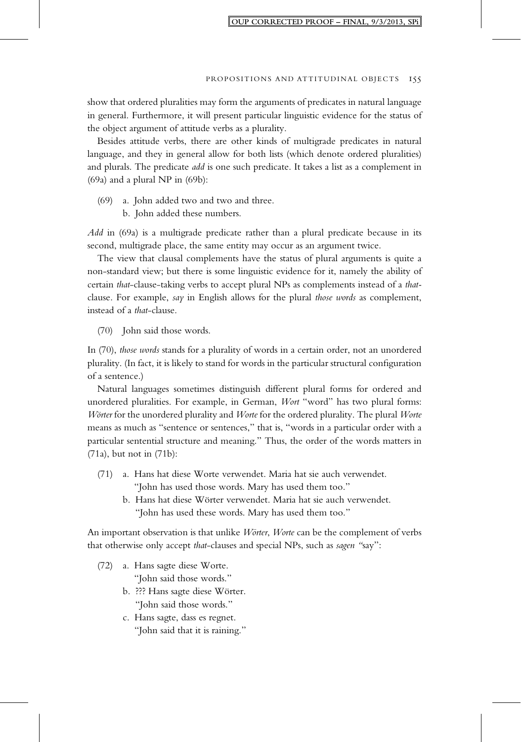#### OUP CORRECTED PROOF – FINAL, 9/3/2013, SPi

#### PROPOSITIONS AND ATTITUDINAL OBJECTS 155

show that ordered pluralities may form the arguments of predicates in natural language in general. Furthermore, it will present particular linguistic evidence for the status of the object argument of attitude verbs as a plurality.

Besides attitude verbs, there are other kinds of multigrade predicates in natural language, and they in general allow for both lists (which denote ordered pluralities) and plurals. The predicate add is one such predicate. It takes a list as a complement in (69a) and a plural NP in (69b):

(69) a. John added two and two and three. b. John added these numbers.

Add in (69a) is a multigrade predicate rather than a plural predicate because in its second, multigrade place, the same entity may occur as an argument twice.

The view that clausal complements have the status of plural arguments is quite a non-standard view; but there is some linguistic evidence for it, namely the ability of certain that-clause-taking verbs to accept plural NPs as complements instead of a thatclause. For example, say in English allows for the plural those words as complement, instead of a that-clause.

(70) John said those words.

In (70), those words stands for a plurality of words in a certain order, not an unordered plurality. (In fact, it is likely to stand for words in the particular structural configuration of a sentence.)

Natural languages sometimes distinguish different plural forms for ordered and unordered pluralities. For example, in German, Wort "word" has two plural forms: Worter for the unordered plurality and Worte for the ordered plurality. The plural Worte means as much as "sentence or sentences," that is, "words in a particular order with a particular sentential structure and meaning." Thus, the order of the words matters in (71a), but not in (71b):

- (71) a. Hans hat diese Worte verwendet. Maria hat sie auch verwendet. "John has used those words. Mary has used them too."
	- b. Hans hat diese Wörter verwendet. Maria hat sie auch verwendet. "John has used these words. Mary has used them too."

An important observation is that unlike *Wörter, Worte* can be the complement of verbs that otherwise only accept that-clauses and special NPs, such as sagen "say":

- (72) a. Hans sagte diese Worte. "John said those words."
	- b. ??? Hans sagte diese Wörter. "John said those words."
	- c. Hans sagte, dass es regnet. "John said that it is raining."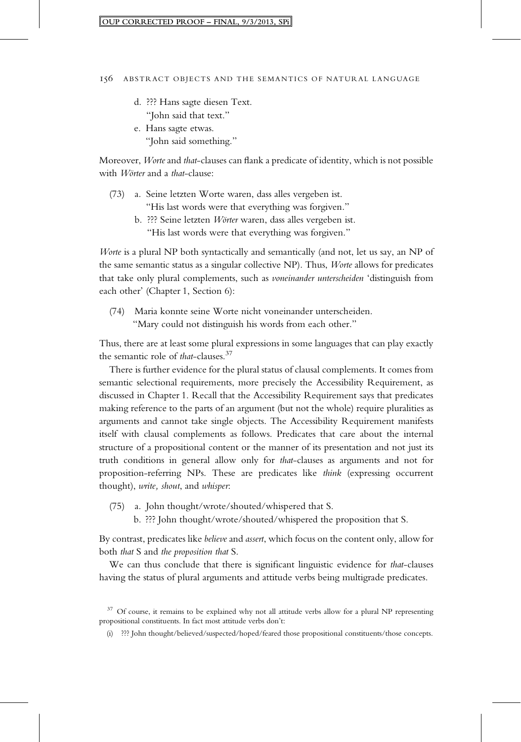#### OUP CORRECTED PROOF – FINAL, 9/3/2013, SPi

#### 156 ABSTRACT OBJECTS AND THE SEMANTICS OF NATURAL LANGUAGE

- d. ??? Hans sagte diesen Text. "John said that text."
- e. Hans sagte etwas. "John said something."

Moreover, Worte and that-clauses can flank a predicate of identity, which is not possible with *Wörter* and a *that*-clause:

- (73) a. Seine letzten Worte waren, dass alles vergeben ist. "His last words were that everything was forgiven."
	- b. ??? Seine letzten Wörter waren, dass alles vergeben ist. "His last words were that everything was forgiven."

Worte is a plural NP both syntactically and semantically (and not, let us say, an NP of the same semantic status as a singular collective NP). Thus, Worte allows for predicates that take only plural complements, such as voneinander unterscheiden 'distinguish from each other' (Chapter 1, Section 6):

(74) Maria konnte seine Worte nicht voneinander unterscheiden. "Mary could not distinguish his words from each other."

Thus, there are at least some plural expressions in some languages that can play exactly the semantic role of that-clauses.<sup>37</sup>

There is further evidence for the plural status of clausal complements. It comes from semantic selectional requirements, more precisely the Accessibility Requirement, as discussed in Chapter 1. Recall that the Accessibility Requirement says that predicates making reference to the parts of an argument (but not the whole) require pluralities as arguments and cannot take single objects. The Accessibility Requirement manifests itself with clausal complements as follows. Predicates that care about the internal structure of a propositional content or the manner of its presentation and not just its truth conditions in general allow only for that-clauses as arguments and not for proposition-referring NPs. These are predicates like think (expressing occurrent thought), write, shout, and whisper:

- (75) a. John thought/wrote/shouted/whispered that S.
	- b. ??? John thought/wrote/shouted/whispered the proposition that S.

By contrast, predicates like believe and assert, which focus on the content only, allow for both that S and the proposition that S.

We can thus conclude that there is significant linguistic evidence for *that*-clauses having the status of plural arguments and attitude verbs being multigrade predicates.

(i) ??? John thought/believed/suspected/hoped/feared those propositional constituents/those concepts.

<sup>&</sup>lt;sup>37</sup> Of course, it remains to be explained why not all attitude verbs allow for a plural NP representing propositional constituents. In fact most attitude verbs don't: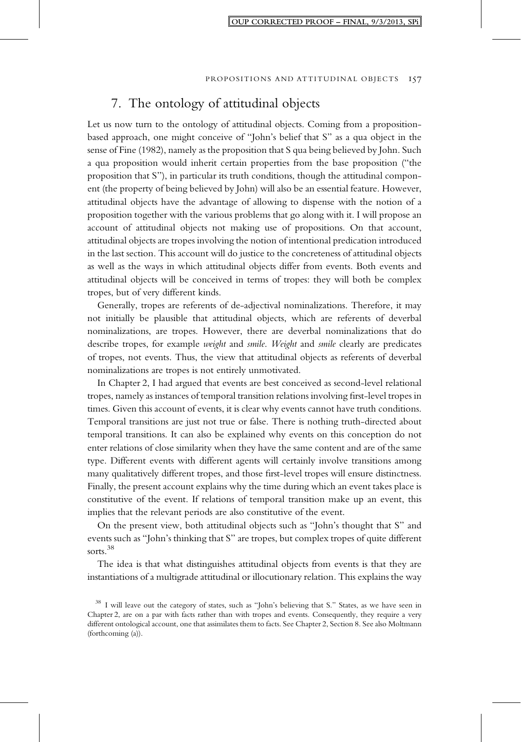# 7. The ontology of attitudinal objects

Let us now turn to the ontology of attitudinal objects. Coming from a propositionbased approach, one might conceive of "John's belief that S" as a qua object in the sense of Fine (1982), namely as the proposition that S qua being believed by John. Such a qua proposition would inherit certain properties from the base proposition ("the proposition that S"), in particular its truth conditions, though the attitudinal component (the property of being believed by John) will also be an essential feature. However, attitudinal objects have the advantage of allowing to dispense with the notion of a proposition together with the various problems that go along with it. I will propose an account of attitudinal objects not making use of propositions. On that account, attitudinal objects are tropes involving the notion of intentional predication introduced in the last section. This account will do justice to the concreteness of attitudinal objects as well as the ways in which attitudinal objects differ from events. Both events and attitudinal objects will be conceived in terms of tropes: they will both be complex tropes, but of very different kinds.

Generally, tropes are referents of de-adjectival nominalizations. Therefore, it may not initially be plausible that attitudinal objects, which are referents of deverbal nominalizations, are tropes. However, there are deverbal nominalizations that do describe tropes, for example weight and smile. Weight and smile clearly are predicates of tropes, not events. Thus, the view that attitudinal objects as referents of deverbal nominalizations are tropes is not entirely unmotivated.

In Chapter 2, I had argued that events are best conceived as second-level relational tropes, namely as instances of temporal transition relations involving first-level tropes in times. Given this account of events, it is clear why events cannot have truth conditions. Temporal transitions are just not true or false. There is nothing truth-directed about temporal transitions. It can also be explained why events on this conception do not enter relations of close similarity when they have the same content and are of the same type. Different events with different agents will certainly involve transitions among many qualitatively different tropes, and those first-level tropes will ensure distinctness. Finally, the present account explains why the time during which an event takes place is constitutive of the event. If relations of temporal transition make up an event, this implies that the relevant periods are also constitutive of the event.

On the present view, both attitudinal objects such as "John's thought that S" and events such as "John's thinking that S" are tropes, but complex tropes of quite different sorts.<sup>38</sup>

The idea is that what distinguishes attitudinal objects from events is that they are instantiations of a multigrade attitudinal or illocutionary relation. This explains the way

<sup>&</sup>lt;sup>38</sup> I will leave out the category of states, such as "John's believing that S." States, as we have seen in Chapter 2, are on a par with facts rather than with tropes and events. Consequently, they require a very different ontological account, one that assimilates them to facts. See Chapter 2, Section 8. See also Moltmann (forthcoming (a)).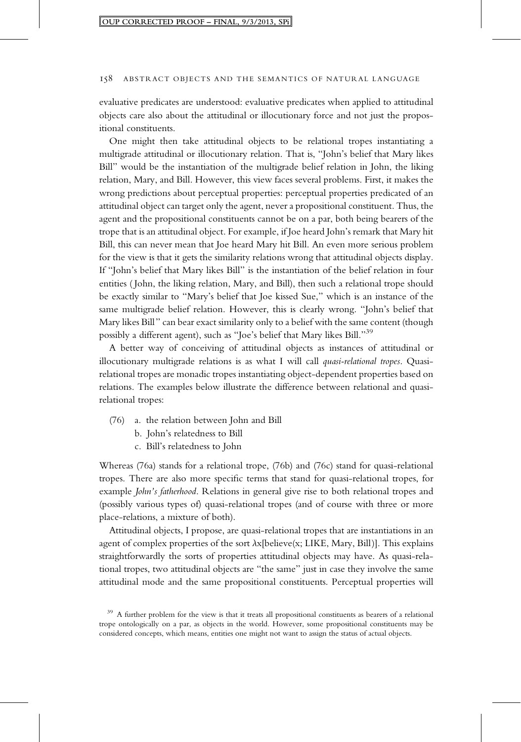evaluative predicates are understood: evaluative predicates when applied to attitudinal objects care also about the attitudinal or illocutionary force and not just the propositional constituents.

One might then take attitudinal objects to be relational tropes instantiating a multigrade attitudinal or illocutionary relation. That is, "John's belief that Mary likes Bill" would be the instantiation of the multigrade belief relation in John, the liking relation, Mary, and Bill. However, this view faces several problems. First, it makes the wrong predictions about perceptual properties: perceptual properties predicated of an attitudinal object can target only the agent, never a propositional constituent. Thus, the agent and the propositional constituents cannot be on a par, both being bearers of the trope that is an attitudinal object. For example, if Joe heard John's remark that Mary hit Bill, this can never mean that Joe heard Mary hit Bill. An even more serious problem for the view is that it gets the similarity relations wrong that attitudinal objects display. If "John's belief that Mary likes Bill" is the instantiation of the belief relation in four entities ( John, the liking relation, Mary, and Bill), then such a relational trope should be exactly similar to "Mary's belief that Joe kissed Sue," which is an instance of the same multigrade belief relation. However, this is clearly wrong. "John's belief that Mary likes Bill" can bear exact similarity only to a belief with the same content (though possibly a different agent), such as "Joe's belief that Mary likes Bill."<sup>39</sup>

A better way of conceiving of attitudinal objects as instances of attitudinal or illocutionary multigrade relations is as what I will call quasi-relational tropes. Quasirelational tropes are monadic tropes instantiating object-dependent properties based on relations. The examples below illustrate the difference between relational and quasirelational tropes:

- (76) a. the relation between John and Bill
	- b. John's relatedness to Bill
	- c. Bill's relatedness to John

Whereas (76a) stands for a relational trope, (76b) and (76c) stand for quasi-relational tropes. There are also more specific terms that stand for quasi-relational tropes, for example John's fatherhood. Relations in general give rise to both relational tropes and (possibly various types of) quasi-relational tropes (and of course with three or more place-relations, a mixture of both).

Attitudinal objects, I propose, are quasi-relational tropes that are instantiations in an agent of complex properties of the sort  $\lambda x$ [believe(x; LIKE, Mary, Bill)]. This explains straightforwardly the sorts of properties attitudinal objects may have. As quasi-relational tropes, two attitudinal objects are "the same" just in case they involve the same attitudinal mode and the same propositional constituents. Perceptual properties will

<sup>&</sup>lt;sup>39</sup> A further problem for the view is that it treats all propositional constituents as bearers of a relational trope ontologically on a par, as objects in the world. However, some propositional constituents may be considered concepts, which means, entities one might not want to assign the status of actual objects.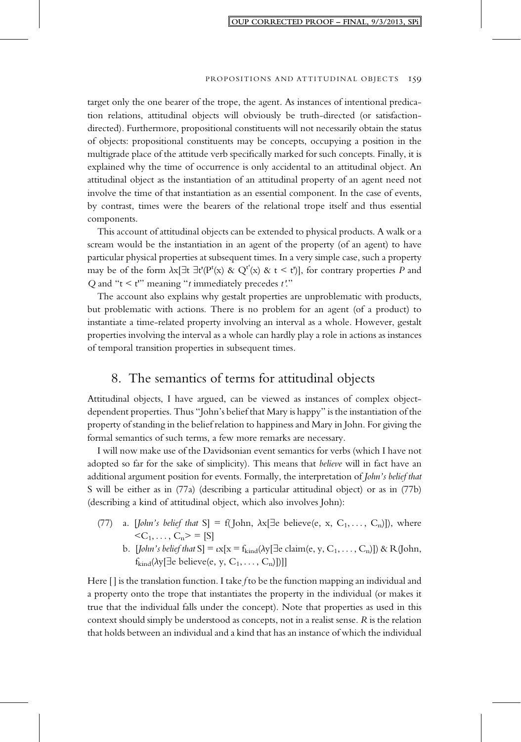target only the one bearer of the trope, the agent. As instances of intentional predication relations, attitudinal objects will obviously be truth-directed (or satisfactiondirected). Furthermore, propositional constituents will not necessarily obtain the status of objects: propositional constituents may be concepts, occupying a position in the multigrade place of the attitude verb specifically marked for such concepts. Finally, it is explained why the time of occurrence is only accidental to an attitudinal object. An attitudinal object as the instantiation of an attitudinal property of an agent need not involve the time of that instantiation as an essential component. In the case of events, by contrast, times were the bearers of the relational trope itself and thus essential components.

This account of attitudinal objects can be extended to physical products. A walk or a scream would be the instantiation in an agent of the property (of an agent) to have particular physical properties at subsequent times. In a very simple case, such a property may be of the form  $\lambda x[\exists t \exists t' (P^t(x) \& Q^{t'}(x) \& t < t')]$ , for contrary properties P and Q and " $t \le t$ " meaning "t immediately precedes t!"

The account also explains why gestalt properties are unproblematic with products, but problematic with actions. There is no problem for an agent (of a product) to instantiate a time-related property involving an interval as a whole. However, gestalt properties involving the interval as a whole can hardly play a role in actions as instances of temporal transition properties in subsequent times.

## 8. The semantics of terms for attitudinal objects

Attitudinal objects, I have argued, can be viewed as instances of complex objectdependent properties. Thus "John's belief that Mary is happy" is the instantiation of the property of standing in the belief relation to happiness and Mary in John. For giving the formal semantics of such terms, a few more remarks are necessary.

I will now make use of the Davidsonian event semantics for verbs (which I have not adopted so far for the sake of simplicity). This means that believe will in fact have an additional argument position for events. Formally, the interpretation of John's belief that S will be either as in (77a) (describing a particular attitudinal object) or as in (77b) (describing a kind of attitudinal object, which also involves John):

- (77) a. [John's belief that S] = f(John,  $\lambda x$ ] = believe(e, x, C<sub>1</sub>, ..., C<sub>n</sub>)]), where  $\langle C_1, \ldots, C_n \rangle = [S]$ 
	- b. [John's belief that  $S = \alpha[x = f_{kind}(\lambda y[\exists e \text{ claim}(e, y, C_1, ..., C_n)]) \& R(\text{John},$  $f_{kind}(\lambda y[\exists e \text{ believe}(e, y, C_1, \ldots, C_n)])]$

Here  $\lceil \rceil$  is the translation function. I take f to be the function mapping an individual and a property onto the trope that instantiates the property in the individual (or makes it true that the individual falls under the concept). Note that properties as used in this context should simply be understood as concepts, not in a realist sense. R is the relation that holds between an individual and a kind that has an instance of which the individual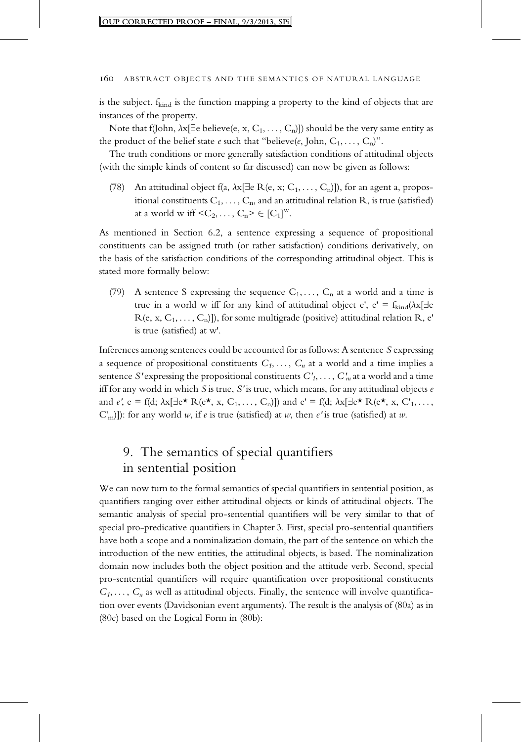#### OUP CORRECTED PROOF – FINAL, 9/3/2013, SPi

#### 160 ABSTRACT OBJECTS AND THE SEMANTICS OF NATURAL LANGUAGE

is the subject.  $f_{kind}$  is the function mapping a property to the kind of objects that are instances of the property.

Note that f(John,  $\lambda x$ ] e believe(e, x, C<sub>1</sub>, ..., C<sub>n</sub>)]) should be the very same entity as the product of the belief state e such that "believe(e, John,  $C_1, \ldots, C_n$ )".

The truth conditions or more generally satisfaction conditions of attitudinal objects (with the simple kinds of content so far discussed) can now be given as follows:

(78) An attitudinal object f(a,  $\lambda x$ ]  $\exists e \ R(e, x; C_1, \ldots, C_n)$ ]), for an agent a, propositional constituents  $C_1, \ldots, C_n$ , and an attitudinal relation R, is true (satisfied) at a world w iff  $\langle C_2, \ldots, C_n \rangle \in [C_1]^w$ .

As mentioned in Section 6.2, a sentence expressing a sequence of propositional constituents can be assigned truth (or rather satisfaction) conditions derivatively, on the basis of the satisfaction conditions of the corresponding attitudinal object. This is stated more formally below:

(79) A sentence S expressing the sequence  $C_1, \ldots, C_n$  at a world and a time is true in a world w iff for any kind of attitudinal object e', e' =  $f_{\text{kind}}(\lambda x)$ ]e  $R(e, x, C_1, \ldots, C_n)$ ]), for some multigrade (positive) attitudinal relation R, e' is true (satisfied) at w'.

Inferences among sentences could be accounted for as follows: A sentence S expressing a sequence of propositional constituents  $C_1, \ldots, C_n$  at a world and a time implies a sentence S' expressing the propositional constituents  $C'_1, \ldots, C'_m$  at a world and a time iff for any world in which  $S$  is true,  $S'$  is true, which means, for any attitudinal objects  $e$ and  $e'$ ,  $e = f(d; \lambda x] \exists e^* R(e^*, x, C_1, \ldots, C_n)$ ) and  $e' = f(d; \lambda x] \exists e^* R(e^*, x, C_1, \ldots, C_n)$  $(C<sub>m</sub>)$ ): for any world w, if e is true (satisfied) at w, then e' is true (satisfied) at w.

# 9. The semantics of special quantifiers in sentential position

We can now turn to the formal semantics of special quantifiers in sentential position, as quantifiers ranging over either attitudinal objects or kinds of attitudinal objects. The semantic analysis of special pro-sentential quantifiers will be very similar to that of special pro-predicative quantifiers in Chapter 3. First, special pro-sentential quantifiers have both a scope and a nominalization domain, the part of the sentence on which the introduction of the new entities, the attitudinal objects, is based. The nominalization domain now includes both the object position and the attitude verb. Second, special pro-sentential quantifiers will require quantification over propositional constituents  $C_1, \ldots, C_n$  as well as attitudinal objects. Finally, the sentence will involve quantification over events (Davidsonian event arguments). The result is the analysis of (80a) as in (80c) based on the Logical Form in (80b):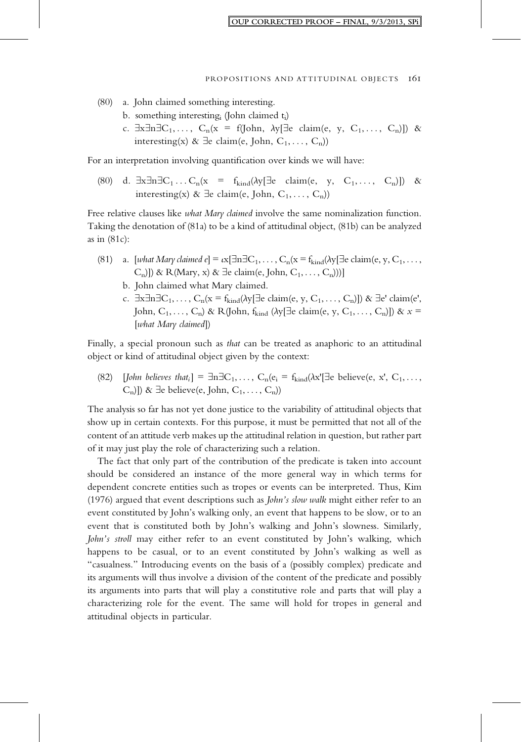- (80) a. John claimed something interesting.
	- b. something interestingi (John claimed ti)
	- c.  $\exists x \exists n \exists C_1, \ldots, C_n(x = f(John, \lambda y[\exists e \text{ claim}(e, y, C_1, \ldots, C_n)]) \&$ interesting(x) &  $\exists$ e claim(e, John, C<sub>1</sub>, ..., C<sub>n</sub>))

For an interpretation involving quantification over kinds we will have:

(80) d.  $\exists x \exists n \exists C_1 \ldots C_n (x = f_{kind}(\lambda y) \exists e \ \text{claim}(e, y, C_1, \ldots, C_n))$  & interesting(x) &  $\exists$ e claim(e, John, C<sub>1</sub>,..., C<sub>n</sub>))

Free relative clauses like what Mary claimed involve the same nominalization function. Taking the denotation of (81a) to be a kind of attitudinal object, (81b) can be analyzed as in (81c):

- (81) a. [what Mary claimed  $e$ ] =  $\iota$ x[ $\exists n \exists C_1, \ldots, C_n$ (x =  $f_{\rm kind}(\lambda y)$ ]  $\exists$ e claim(e, y, C<sub>1</sub>, ...,  $(C_n)$ ]) & R(Mary, x) &  $\exists$ e claim(e, John,  $C_1, \ldots, C_n$ )))]
	- b. John claimed what Mary claimed.
	- c.  $\exists x \exists n \exists C_1,\ldots,C_n(x = f_{kind}(\lambda y | \exists e \text{ claim}(e, y, C_1,\ldots,C_n)) \& \exists e' \text{claim}(e',$ John,  $C_1, \ldots, C_n$ ) & R(John,  $f_{kind}$  ( $\lambda y$ ] de claim(e, y,  $C_1, \ldots, C_n$ )]) &  $x =$ [what Mary claimed])

Finally, a special pronoun such as *that* can be treated as anaphoric to an attitudinal object or kind of attitudinal object given by the context:

(82) [John believes that<sub>i</sub>] =  $\exists n \exists C_1, \ldots, C_n(e_i = f_{kind}(\lambda x^i | \exists e \text{ believe}(e, x^i, C_1, \ldots,$  $(C_n)]$ ) &  $\exists e \text{ believe}(e, \text{John}, C_1, \ldots, C_n)$ 

The analysis so far has not yet done justice to the variability of attitudinal objects that show up in certain contexts. For this purpose, it must be permitted that not all of the content of an attitude verb makes up the attitudinal relation in question, but rather part of it may just play the role of characterizing such a relation.

The fact that only part of the contribution of the predicate is taken into account should be considered an instance of the more general way in which terms for dependent concrete entities such as tropes or events can be interpreted. Thus, Kim (1976) argued that event descriptions such as John's slow walk might either refer to an event constituted by John's walking only, an event that happens to be slow, or to an event that is constituted both by John's walking and John's slowness. Similarly, John's stroll may either refer to an event constituted by John's walking, which happens to be casual, or to an event constituted by John's walking as well as "casualness." Introducing events on the basis of a (possibly complex) predicate and its arguments will thus involve a division of the content of the predicate and possibly its arguments into parts that will play a constitutive role and parts that will play a characterizing role for the event. The same will hold for tropes in general and attitudinal objects in particular.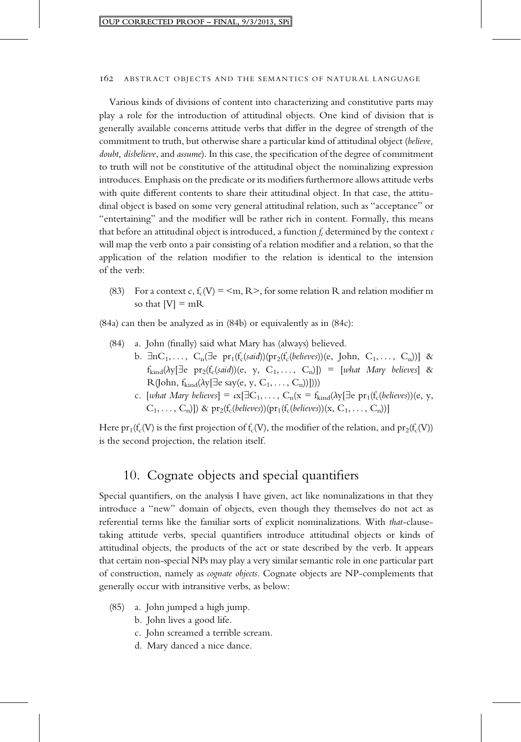Various kinds of divisions of content into characterizing and constitutive parts may play a role for the introduction of attitudinal objects. One kind of division that is generally available concerns attitude verbs that differ in the degree of strength of the commitment to truth, but otherwise share a particular kind of attitudinal object (believe, doubt, disbelieve, and assume). In this case, the specification of the degree of commitment to truth will not be constitutive of the attitudinal object the nominalizing expression introduces. Emphasis on the predicate or its modifiers furthermore allows attitude verbs with quite different contents to share their attitudinal object. In that case, the attitudinal object is based on some very general attitudinal relation, such as "acceptance" or "entertaining" and the modifier will be rather rich in content. Formally, this means that before an attitudinal object is introduced, a function  $f_c$  determined by the context  $c$ will map the verb onto a pair consisting of a relation modifier and a relation, so that the application of the relation modifier to the relation is identical to the intension of the verb:

(83) For a context c,  $f_c(V) = \langle m, R \rangle$ , for some relation R and relation modifier m so that  $[V] = mR$ 

(84a) can then be analyzed as in (84b) or equivalently as in (84c):

- (84) a. John (finally) said what Mary has (always) believed.
	- b.  $\exists nC_1,\ldots,C_n(\exists e \text{ pr}_1(f_c(said)) (pr_2(f_c(believes))(e, John, C_1,\ldots,C_n))]$  &  $f_{\text{kind}}(\lambda y)$ ] $\exists e \text{ pr}_2(f_c(said))(e, y, C_1, \ldots, C_n)) = [what Mary believes]$  &  $R(John, f_{kind}(\lambda y | \exists e \text{ say}(e, y, C_1, ..., C_n))]))$ 
		- c. [what Mary believes] =  $\iota$ x[ $\exists C_1,\ldots,C_n$ (x =  $f_{kind}(\lambda y[\exists e \ pr_1(f_c(believes))(e, y,$  $(C_1,\ldots,C_n)$ ]) & pr<sub>2</sub>(f<sub>c</sub>(believes))(pr<sub>1</sub>(f<sub>c</sub>(believes))(x,  $C_1,\ldots,C_n$ ))]

Here  $pr_1(f_c(V))$  is the first projection of  $f_c(V)$ , the modifier of the relation, and  $pr_2(f_c(V))$ is the second projection, the relation itself.

# 10. Cognate objects and special quantifiers

Special quantifiers, on the analysis I have given, act like nominalizations in that they introduce a "new" domain of objects, even though they themselves do not act as referential terms like the familiar sorts of explicit nominalizations. With that-clausetaking attitude verbs, special quantifiers introduce attitudinal objects or kinds of attitudinal objects, the products of the act or state described by the verb. It appears that certain non-special NPs may play a very similar semantic role in one particular part of construction, namely as cognate objects. Cognate objects are NP-complements that generally occur with intransitive verbs, as below:

- (85) a. John jumped a high jump.
	- b. John lives a good life.
	- c. John screamed a terrible scream.
	- d. Mary danced a nice dance.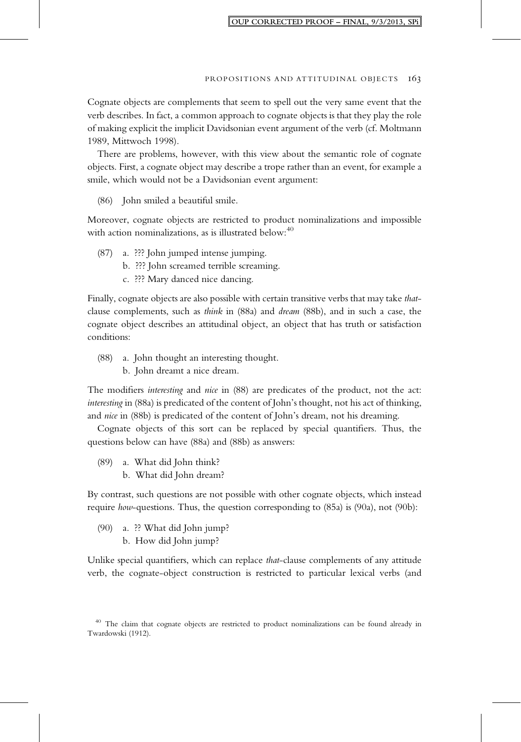Cognate objects are complements that seem to spell out the very same event that the verb describes. In fact, a common approach to cognate objects is that they play the role of making explicit the implicit Davidsonian event argument of the verb (cf. Moltmann 1989, Mittwoch 1998).

There are problems, however, with this view about the semantic role of cognate objects. First, a cognate object may describe a trope rather than an event, for example a smile, which would not be a Davidsonian event argument:

(86) John smiled a beautiful smile.

Moreover, cognate objects are restricted to product nominalizations and impossible with action nominalizations, as is illustrated below:<sup>40</sup>

- (87) a. ??? John jumped intense jumping.
	- b. ??? John screamed terrible screaming.
	- c. ??? Mary danced nice dancing.

Finally, cognate objects are also possible with certain transitive verbs that may take thatclause complements, such as think in (88a) and dream (88b), and in such a case, the cognate object describes an attitudinal object, an object that has truth or satisfaction conditions:

- (88) a. John thought an interesting thought.
	- b. John dreamt a nice dream.

The modifiers *interesting* and *nice* in (88) are predicates of the product, not the act: interesting in (88a) is predicated of the content of John's thought, not his act of thinking, and nice in (88b) is predicated of the content of John's dream, not his dreaming.

Cognate objects of this sort can be replaced by special quantifiers. Thus, the questions below can have (88a) and (88b) as answers:

- (89) a. What did John think?
	- b. What did John dream?

By contrast, such questions are not possible with other cognate objects, which instead require how-questions. Thus, the question corresponding to (85a) is (90a), not (90b):

(90) a. ?? What did John jump? b. How did John jump?

Unlike special quantifiers, which can replace that-clause complements of any attitude verb, the cognate-object construction is restricted to particular lexical verbs (and

<sup>&</sup>lt;sup>40</sup> The claim that cognate objects are restricted to product nominalizations can be found already in Twardowski (1912).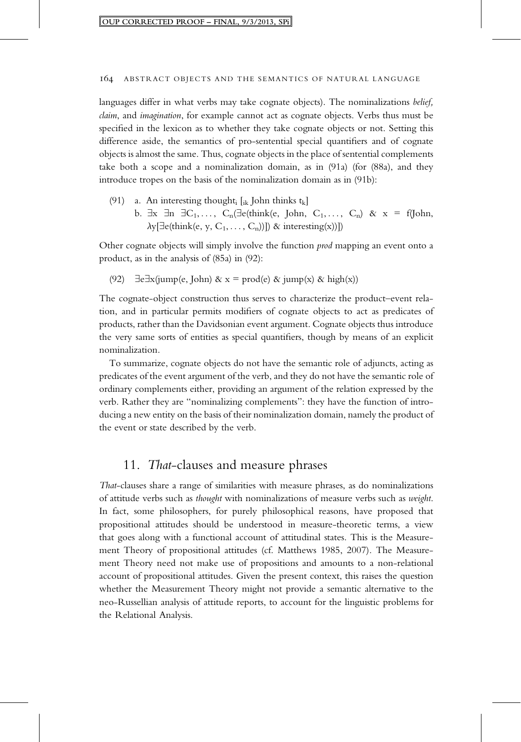languages differ in what verbs may take cognate objects). The nominalizations belief, claim, and imagination, for example cannot act as cognate objects. Verbs thus must be specified in the lexicon as to whether they take cognate objects or not. Setting this difference aside, the semantics of pro-sentential special quantifiers and of cognate objects is almost the same. Thus, cognate objects in the place of sentential complements take both a scope and a nominalization domain, as in (91a) (for (88a), and they introduce tropes on the basis of the nominalization domain as in (91b):

- (91) a. An interesting thought<sub>i</sub>  $[i_k]$ ohn thinks t<sub>k</sub>]
	- b.  $\exists x \exists n \exists C_1,\ldots, C_n(\exists e(\text{think}(e, \text{John}, C_1,\ldots, C_n)) \& x = f(\text{John},$  $\lambda y[\exists e(think(e, y, C_1, \ldots, C_n))]$  & interesting(x)]]

Other cognate objects will simply involve the function prod mapping an event onto a product, as in the analysis of (85a) in (92):

(92)  $\exists e \exists x (jump(e, John) \& x = prod(e) \& jump(x) \& high(x))$ 

The cognate-object construction thus serves to characterize the product–event relation, and in particular permits modifiers of cognate objects to act as predicates of products, rather than the Davidsonian event argument. Cognate objects thus introduce the very same sorts of entities as special quantifiers, though by means of an explicit nominalization.

To summarize, cognate objects do not have the semantic role of adjuncts, acting as predicates of the event argument of the verb, and they do not have the semantic role of ordinary complements either, providing an argument of the relation expressed by the verb. Rather they are "nominalizing complements": they have the function of introducing a new entity on the basis of their nominalization domain, namely the product of the event or state described by the verb.

## 11. That-clauses and measure phrases

That-clauses share a range of similarities with measure phrases, as do nominalizations of attitude verbs such as thought with nominalizations of measure verbs such as weight. In fact, some philosophers, for purely philosophical reasons, have proposed that propositional attitudes should be understood in measure-theoretic terms, a view that goes along with a functional account of attitudinal states. This is the Measurement Theory of propositional attitudes (cf. Matthews 1985, 2007). The Measurement Theory need not make use of propositions and amounts to a non-relational account of propositional attitudes. Given the present context, this raises the question whether the Measurement Theory might not provide a semantic alternative to the neo-Russellian analysis of attitude reports, to account for the linguistic problems for the Relational Analysis.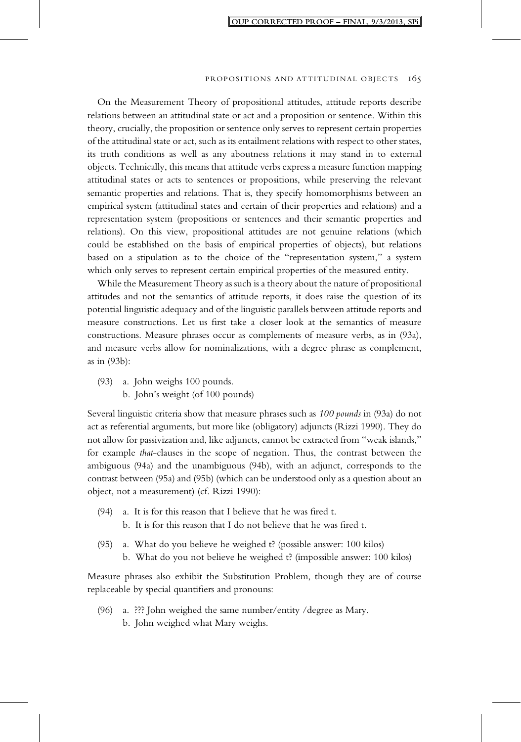On the Measurement Theory of propositional attitudes, attitude reports describe relations between an attitudinal state or act and a proposition or sentence. Within this theory, crucially, the proposition or sentence only serves to represent certain properties of the attitudinal state or act, such as its entailment relations with respect to other states, its truth conditions as well as any aboutness relations it may stand in to external objects. Technically, this means that attitude verbs express a measure function mapping attitudinal states or acts to sentences or propositions, while preserving the relevant semantic properties and relations. That is, they specify homomorphisms between an empirical system (attitudinal states and certain of their properties and relations) and a representation system (propositions or sentences and their semantic properties and relations). On this view, propositional attitudes are not genuine relations (which could be established on the basis of empirical properties of objects), but relations based on a stipulation as to the choice of the "representation system," a system which only serves to represent certain empirical properties of the measured entity.

While the Measurement Theory as such is a theory about the nature of propositional attitudes and not the semantics of attitude reports, it does raise the question of its potential linguistic adequacy and of the linguistic parallels between attitude reports and measure constructions. Let us first take a closer look at the semantics of measure constructions. Measure phrases occur as complements of measure verbs, as in (93a), and measure verbs allow for nominalizations, with a degree phrase as complement, as in (93b):

(93) a. John weighs 100 pounds. b. John's weight (of 100 pounds)

Several linguistic criteria show that measure phrases such as 100 pounds in (93a) do not act as referential arguments, but more like (obligatory) adjuncts (Rizzi 1990). They do not allow for passivization and, like adjuncts, cannot be extracted from "weak islands," for example that-clauses in the scope of negation. Thus, the contrast between the ambiguous (94a) and the unambiguous (94b), with an adjunct, corresponds to the contrast between (95a) and (95b) (which can be understood only as a question about an object, not a measurement) (cf. Rizzi 1990):

- (94) a. It is for this reason that I believe that he was fired t. b. It is for this reason that I do not believe that he was fired t.
- (95) a. What do you believe he weighed t? (possible answer: 100 kilos)
	- b. What do you not believe he weighed t? (impossible answer: 100 kilos)

Measure phrases also exhibit the Substitution Problem, though they are of course replaceable by special quantifiers and pronouns:

(96) a. ??? John weighed the same number/entity /degree as Mary. b. John weighed what Mary weighs.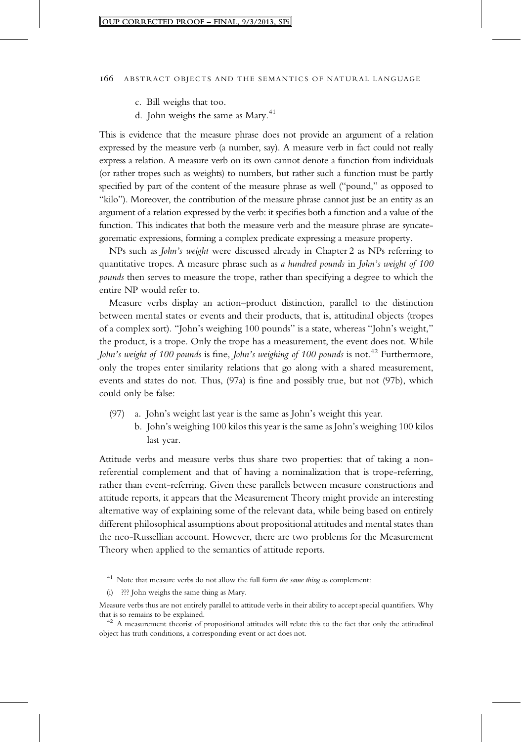#### OUP CORRECTED PROOF – FINAL, 9/3/2013, SPi

#### 166 ABSTRACT OBJECTS AND THE SEMANTICS OF NATURAL LANGUAGE

- c. Bill weighs that too.
- d. John weighs the same as Mary.<sup>41</sup>

This is evidence that the measure phrase does not provide an argument of a relation expressed by the measure verb (a number, say). A measure verb in fact could not really express a relation. A measure verb on its own cannot denote a function from individuals (or rather tropes such as weights) to numbers, but rather such a function must be partly specified by part of the content of the measure phrase as well ("pound," as opposed to "kilo"). Moreover, the contribution of the measure phrase cannot just be an entity as an argument of a relation expressed by the verb: it specifies both a function and a value of the function. This indicates that both the measure verb and the measure phrase are syncategorematic expressions, forming a complex predicate expressing a measure property.

NPs such as *John's weight* were discussed already in Chapter 2 as NPs referring to quantitative tropes. A measure phrase such as a hundred pounds in John's weight of 100 pounds then serves to measure the trope, rather than specifying a degree to which the entire NP would refer to.

Measure verbs display an action–product distinction, parallel to the distinction between mental states or events and their products, that is, attitudinal objects (tropes of a complex sort). "John's weighing 100 pounds" is a state, whereas "John's weight," the product, is a trope. Only the trope has a measurement, the event does not. While John's weight of 100 pounds is fine, John's weighing of 100 pounds is not.<sup>42</sup> Furthermore, only the tropes enter similarity relations that go along with a shared measurement, events and states do not. Thus, (97a) is fine and possibly true, but not (97b), which could only be false:

- (97) a. John's weight last year is the same as John's weight this year.
	- b. John's weighing 100 kilos this year is the same as John's weighing 100 kilos last year.

Attitude verbs and measure verbs thus share two properties: that of taking a nonreferential complement and that of having a nominalization that is trope-referring, rather than event-referring. Given these parallels between measure constructions and attitude reports, it appears that the Measurement Theory might provide an interesting alternative way of explaining some of the relevant data, while being based on entirely different philosophical assumptions about propositional attitudes and mental states than the neo-Russellian account. However, there are two problems for the Measurement Theory when applied to the semantics of attitude reports.

 $41$  Note that measure verbs do not allow the full form the same thing as complement:

<sup>(</sup>i) ??? John weighs the same thing as Mary.

Measure verbs thus are not entirely parallel to attitude verbs in their ability to accept special quantifiers. Why that is so remains to be explained.<br> $42$  A measurement theorist of propositional attitudes will relate this to the fact that only the attitudinal

object has truth conditions, a corresponding event or act does not.